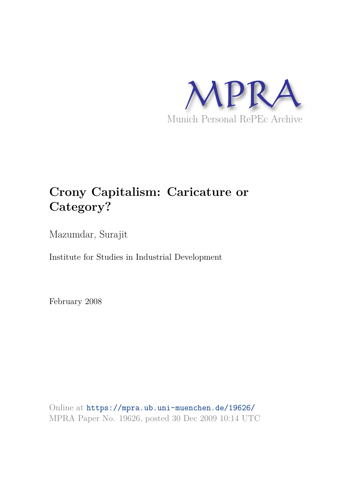

# **Crony Capitalism: Caricature or Category?**

Mazumdar, Surajit

Institute for Studies in Industrial Development

February 2008

Online at https://mpra.ub.uni-muenchen.de/19626/ MPRA Paper No. 19626, posted 30 Dec 2009 10:14 UTC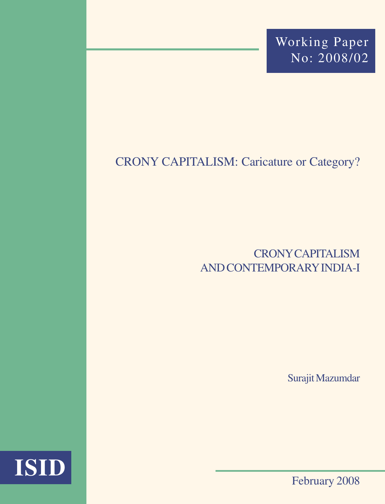Working Paper No: 2008/02

# CRONY CAPITALISM: Caricature or Category?

# CRONY CAPITALISM AND CONTEMPORARY INDIA-I

Surajit Mazumdar



February 2008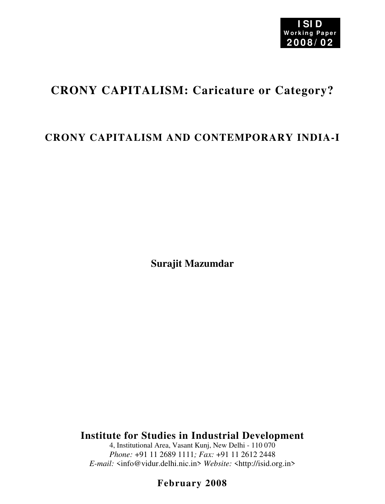

# **CRONY CAPITALISM: Caricature or Category?**

# **CRONY CAPITALISM AND CONTEMPORARY INDIA-I**

**Surajit Mazumdar** 

**Institute for Studies in Industrial Development** 

4, Institutional Area, Vasant Kunj, New Delhi - 110 070 *Phone:* +91 11 2689 1111*; Fax:* +91 11 2612 2448 *E-mail:* <info@vidur.delhi.nic.in> *Website:* <http://isid.org.in>

**February 2008**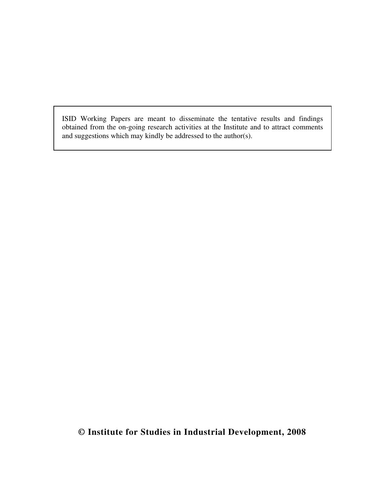ISID Working Papers are meant to disseminate the tentative results and findings obtained from the on-going research activities at the Institute and to attract comments and suggestions which may kindly be addressed to the author(s).

## **© Institute for Studies in Industrial Development, 2008**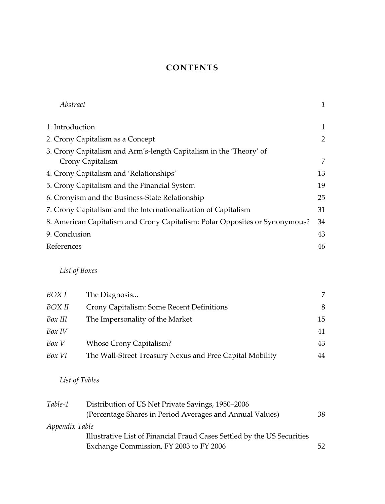# **CONTENTS**

| $\mathcal{I}$ |
|---------------|
| 1             |
| 2             |
| 7             |
| 13            |
| 19            |
| 25            |
| 31            |
| 34            |
| 43            |
| 46            |
|               |

*List of Boxes*

| BOX I   | The Diagnosis                                            | 7  |
|---------|----------------------------------------------------------|----|
| BOX II  | Crony Capitalism: Some Recent Definitions                | 8  |
| Box III | The Impersonality of the Market                          | 15 |
| Box IV  |                                                          | 41 |
| Box V   | <b>Whose Crony Capitalism?</b>                           | 43 |
| Box VI  | The Wall-Street Treasury Nexus and Free Capital Mobility | 44 |

*List of Tables*

| Table-1        | Distribution of US Net Private Savings, 1950–2006                       |    |
|----------------|-------------------------------------------------------------------------|----|
|                | (Percentage Shares in Period Averages and Annual Values)                | 38 |
| Appendix Table |                                                                         |    |
|                | Illustrative List of Financial Fraud Cases Settled by the US Securities |    |
|                | Exchange Commission, FY 2003 to FY 2006                                 | 52 |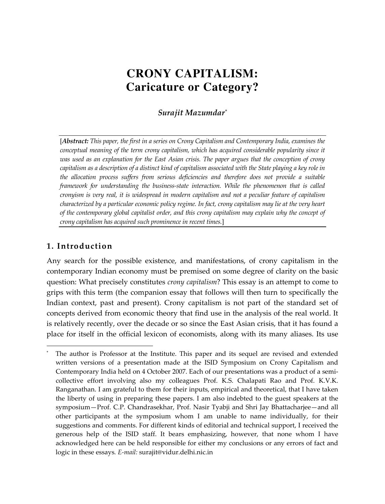# **CRONY CAPITALISM: Caricature or Category?**

#### *Surajit Mazumdar\**

[*Abstract: This paper, the first in a series on Crony Capitalism and Contemporary India, examines the conceptual meaning of the term crony capitalism, which has acquired considerable popularity since it* was used as an explanation for the East Asian crisis. The paper argues that the conception of crony capitalism as a description of a distinct kind of capitalism associated with the State playing a key role in *the allocation process suffers from serious deficiencies and therefore does not provide a suitable framework for understanding the business‐state interaction. While the phenomenon that is called cronyism is very real, it is widespread in modern capitalism and not a peculiar feature of capitalism characterized by a particular economic policy regime. In fact, crony capitalism may lie at the very heart of the contemporary global capitalist order, and this crony capitalism may explain why the concept of crony capitalism has acquired such prominence in recent times.*]

## **1. Introduction**

Any search for the possible existence, and manifestations, of crony capitalism in the contemporary Indian economy must be premised on some degree of clarity on the basic question: What precisely constitutes *crony capitalism*? This essay is an attempt to come to grips with this term (the companion essay that follows will then turn to specifically the Indian context, past and present). Crony capitalism is not part of the standard set of concepts derived from economic theory that find use in the analysis of the real world. It is relatively recently, over the decade or so since the East Asian crisis, that it has found a place for itself in the official lexicon of economists, along with its many aliases. Its use

<sup>\*</sup> The author is Professor at the Institute. This paper and its sequel are revised and extended written versions of a presentation made at the ISID Symposium on Crony Capitalism and Contemporary India held on 4 October 2007. Each of our presentations was a product of a semi‐ collective effort involving also my colleagues Prof. K.S. Chalapati Rao and Prof. K.V.K. Ranganathan. I am grateful to them for their inputs, empirical and theoretical, that I have taken the liberty of using in preparing these papers. I am also indebted to the guest speakers at the symposium—Prof. C.P. Chandrasekhar, Prof. Nasir Tyabji and Shri Jay Bhattacharjee—and all other participants at the symposium whom I am unable to name individually, for their suggestions and comments. For different kinds of editorial and technical support, I received the generous help of the ISID staff. It bears emphasizing, however, that none whom I have acknowledged here can be held responsible for either my conclusions or any errors of fact and logic in these essays*. E‐mail:* surajit@vidur.delhi.nic.in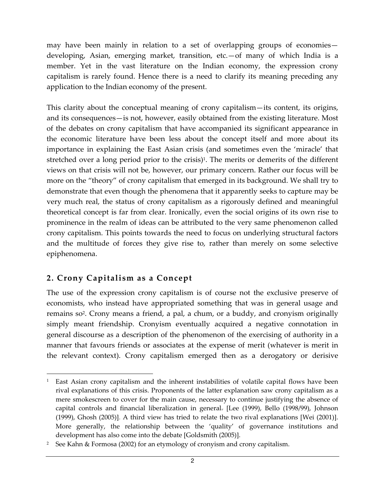may have been mainly in relation to a set of overlapping groups of economies developing, Asian, emerging market, transition, etc.—of many of which India is a member. Yet in the vast literature on the Indian economy, the expression crony capitalism is rarely found. Hence there is a need to clarify its meaning preceding any application to the Indian economy of the present.

This clarity about the conceptual meaning of crony capitalism—its content, its origins, and its consequences—is not, however, easily obtained from the existing literature. Most of the debates on crony capitalism that have accompanied its significant appearance in the economic literature have been less about the concept itself and more about its importance in explaining the East Asian crisis (and sometimes even the 'miracle' that stretched over a long period prior to the crisis)<sup>1</sup>. The merits or demerits of the different views on that crisis will not be, however, our primary concern. Rather our focus will be more on the "theory" of crony capitalism that emerged in its background. We shall try to demonstrate that even though the phenomena that it apparently seeks to capture may be very much real, the status of crony capitalism as a rigorously defined and meaningful theoretical concept is far from clear. Ironically, even the social origins of its own rise to prominence in the realm of ideas can be attributed to the very same phenomenon called crony capitalism. This points towards the need to focus on underlying structural factors and the multitude of forces they give rise to, rather than merely on some selective epiphenomena.

## **2. Crony Capitalism as a Concept**

<u> 1989 - Johann Barnett, fransk politiker (d. 1989)</u>

The use of the expression crony capitalism is of course not the exclusive preserve of economists, who instead have appropriated something that was in general usage and remains so<sup>2</sup> . Crony means a friend, a pal, a chum, or a buddy, and cronyism originally simply meant friendship. Cronyism eventually acquired a negative connotation in general discourse as a description of the phenomenon of the exercising of authority in a manner that favours friends or associates at the expense of merit (whatever is merit in the relevant context). Crony capitalism emerged then as a derogatory or derisive

<sup>&</sup>lt;sup>1</sup> East Asian crony capitalism and the inherent instabilities of volatile capital flows have been rival explanations of this crisis. Proponents of the latter explanation saw crony capitalism as a mere smokescreen to cover for the main cause, necessary to continue justifying the absence of capital controls and financial liberalization in general. [Lee (1999), Bello (1998/99), Johnson (1999), Ghosh (2005)]. A third view has tried to relate the two rival explanations [Wei (2001)]. More generally, the relationship between the 'quality' of governance institutions and development has also come into the debate [Goldsmith (2005)].

<sup>2</sup> See Kahn & Formosa (2002) for an etymology of cronyism and crony capitalism.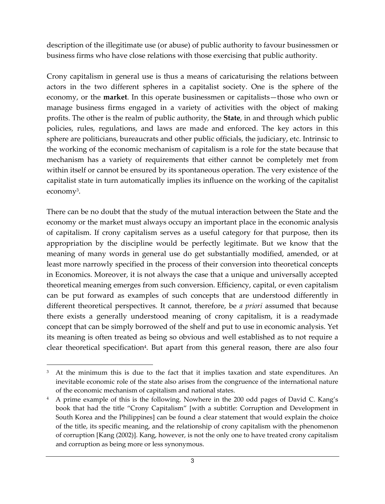description of the illegitimate use (or abuse) of public authority to favour businessmen or business firms who have close relations with those exercising that public authority.

Crony capitalism in general use is thus a means of caricaturising the relations between actors in the two different spheres in a capitalist society. One is the sphere of the economy, or the **market**. In this operate businessmen or capitalists—those who own or manage business firms engaged in a variety of activities with the object of making profits. The other is the realm of public authority, the **State**, in and through which public policies, rules, regulations, and laws are made and enforced. The key actors in this sphere are politicians, bureaucrats and other public officials, the judiciary, etc. Intrinsic to the working of the economic mechanism of capitalism is a role for the state because that mechanism has a variety of requirements that either cannot be completely met from within itself or cannot be ensured by its spontaneous operation. The very existence of the capitalist state in turn automatically implies its influence on the working of the capitalist economy<sup>3</sup> .

There can be no doubt that the study of the mutual interaction between the State and the economy or the market must always occupy an important place in the economic analysis of capitalism. If crony capitalism serves as a useful category for that purpose, then its appropriation by the discipline would be perfectly legitimate. But we know that the meaning of many words in general use do get substantially modified, amended, or at least more narrowly specified in the process of their conversion into theoretical concepts in Economics. Moreover, it is not always the case that a unique and universally accepted theoretical meaning emerges from such conversion. Efficiency, capital, or even capitalism can be put forward as examples of such concepts that are understood differently in different theoretical perspectives. It cannot, therefore, be *a priori* assumed that because there exists a generally understood meaning of crony capitalism, it is a readymade concept that can be simply borrowed of the shelf and put to use in economic analysis. Yet its meaning is often treated as being so obvious and well established as to not require a clear theoretical specification<sup>4</sup> . But apart from this general reason, there are also four

<sup>&</sup>lt;sup>3</sup> At the minimum this is due to the fact that it implies taxation and state expenditures. An inevitable economic role of the state also arises from the congruence of the international nature of the economic mechanism of capitalism and national states.

<sup>&</sup>lt;sup>4</sup> A prime example of this is the following. Nowhere in the 200 odd pages of David C. Kang's book that had the title "Crony Capitalism" [with a subtitle: Corruption and Development in South Korea and the Philippines] can be found a clear statement that would explain the choice of the title, its specific meaning, and the relationship of crony capitalism with the phenomenon of corruption [Kang (2002)]. Kang, however, is not the only one to have treated crony capitalism and corruption as being more or less synonymous.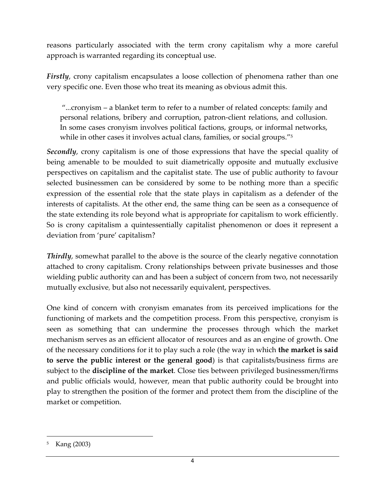reasons particularly associated with the term crony capitalism why a more careful approach is warranted regarding its conceptual use.

*Firstly*, crony capitalism encapsulates a loose collection of phenomena rather than one very specific one. Even those who treat its meaning as obvious admit this.

"...cronyism – a blanket term to refer to a number of related concepts: family and personal relations, bribery and corruption, patron‐client relations, and collusion. In some cases cronyism involves political factions, groups, or informal networks, while in other cases it involves actual clans, families, or social groups."<sup>5</sup>

*Secondly*, crony capitalism is one of those expressions that have the special quality of being amenable to be moulded to suit diametrically opposite and mutually exclusive perspectives on capitalism and the capitalist state. The use of public authority to favour selected businessmen can be considered by some to be nothing more than a specific expression of the essential role that the state plays in capitalism as a defender of the interests of capitalists. At the other end, the same thing can be seen as a consequence of the state extending its role beyond what is appropriate for capitalism to work efficiently. So is crony capitalism a quintessentially capitalist phenomenon or does it represent a deviation from 'pure' capitalism?

*Thirdly*, somewhat parallel to the above is the source of the clearly negative connotation attached to crony capitalism. Crony relationships between private businesses and those wielding public authority can and has been a subject of concern from two, not necessarily mutually exclusive, but also not necessarily equivalent, perspectives.

One kind of concern with cronyism emanates from its perceived implications for the functioning of markets and the competition process. From this perspective, cronyism is seen as something that can undermine the processes through which the market mechanism serves as an efficient allocator of resources and as an engine of growth. One of the necessary conditions for it to play such a role (the way in which **the market is said to serve the public interest or the general good**) is that capitalists/business firms are subject to the **discipline of the market**. Close ties between privileged businessmen/firms and public officials would, however, mean that public authority could be brought into play to strengthen the position of the former and protect them from the discipline of the market or competition.

<sup>5</sup> Kang (2003)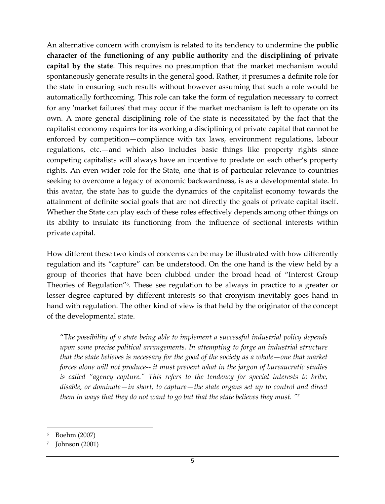An alternative concern with cronyism is related to its tendency to undermine the **public character of the functioning of any public authority** and the **disciplining of private capital by the state**. This requires no presumption that the market mechanism would spontaneously generate results in the general good. Rather, it presumes a definite role for the state in ensuring such results without however assuming that such a role would be automatically forthcoming. This role can take the form of regulation necessary to correct for any 'market failures' that may occur if the market mechanism is left to operate on its own. A more general disciplining role of the state is necessitated by the fact that the capitalist economy requires for its working a disciplining of private capital that cannot be enforced by competition—compliance with tax laws, environment regulations, labour regulations, etc.—and which also includes basic things like property rights since competing capitalists will always have an incentive to predate on each other's property rights. An even wider role for the State, one that is of particular relevance to countries seeking to overcome a legacy of economic backwardness, is as a developmental state. In this avatar, the state has to guide the dynamics of the capitalist economy towards the attainment of definite social goals that are not directly the goals of private capital itself. Whether the State can play each of these roles effectively depends among other things on its ability to insulate its functioning from the influence of sectional interests within private capital.

How different these two kinds of concerns can be may be illustrated with how differently regulation and its "capture" can be understood. On the one hand is the view held by a group of theories that have been clubbed under the broad head of "Interest Group Theories of Regulation"6. These see regulation to be always in practice to a greater or lesser degree captured by different interests so that cronyism inevitably goes hand in hand with regulation. The other kind of view is that held by the originator of the concept of the developmental state.

"T*he possibility of a state being able to implement a successful industrial policy depends upon some precise political arrangements. In attempting to forge an industrial structure that the state believes is necessary for the good of the society as a whole—one that market forces alone will not produce‐‐ it must prevent what in the jargon of bureaucratic studies is called "agency capture.ʺ This refers to the tendency for special interests to bribe, disable, or dominate—in short, to capture—the state organs set up to control and direct them in ways that they do not want to go but that the state believes they must. ʺ<sup>7</sup>*

<sup>6</sup> Boehm (2007)

<sup>7</sup> Johnson (2001)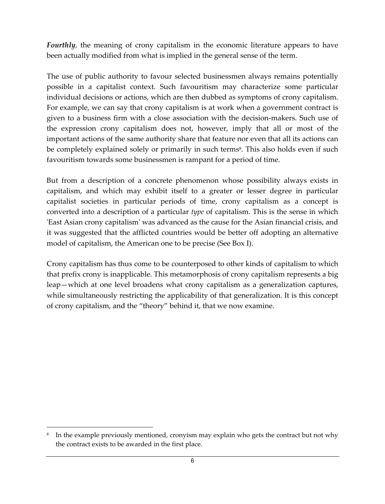*Fourthly*, the meaning of crony capitalism in the economic literature appears to have been actually modified from what is implied in the general sense of the term.

The use of public authority to favour selected businessmen always remains potentially possible in a capitalist context. Such favouritism may characterize some particular individual decisions or actions, which are then dubbed as symptoms of crony capitalism. For example, we can say that crony capitalism is at work when a government contract is given to a business firm with a close association with the decision‐makers. Such use of the expression crony capitalism does not, however, imply that all or most of the important actions of the same authority share that feature nor even that all its actions can be completely explained solely or primarily in such terms<sup>8</sup>. This also holds even if such favouritism towards some businessmen is rampant for a period of time.

But from a description of a concrete phenomenon whose possibility always exists in capitalism, and which may exhibit itself to a greater or lesser degree in particular capitalist societies in particular periods of time, crony capitalism as a concept is converted into a description of a particular *type* of capitalism. This is the sense in which ʹEast Asian crony capitalismʹ was advanced as the cause for the Asian financial crisis, and it was suggested that the afflicted countries would be better off adopting an alternative model of capitalism, the American one to be precise (See Box I).

Crony capitalism has thus come to be counterposed to other kinds of capitalism to which that prefix crony is inapplicable. This metamorphosis of crony capitalism represents a big leap—which at one level broadens what crony capitalism as a generalization captures, while simultaneously restricting the applicability of that generalization. It is this concept of crony capitalism, and the "theory" behind it, that we now examine.

<sup>8</sup> In the example previously mentioned, cronyism may explain who gets the contract but not why the contract exists to be awarded in the first place.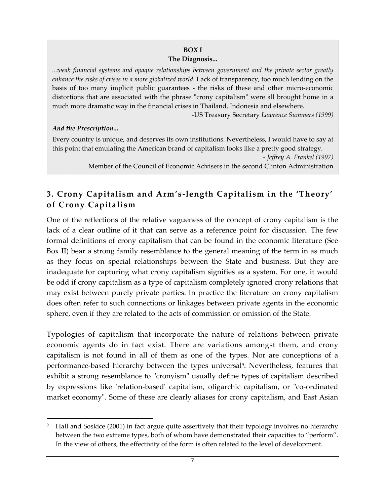#### **BOX I The Diagnosis...**

*...weak financial systems and opaque relationships between government and the private sector greatly enhance the risks of crises in a more globalized world.* Lack of transparency, too much lending on the basis of too many implicit public guarantees ‐ the risks of these and other micro‐economic distortions that are associated with the phrase "crony capitalism" were all brought home in a much more dramatic way in the financial crises in Thailand, Indonesia and elsewhere.

‐US Treasury Secretary *Lawrence Summers (1999)*

#### *And the Prescription...*

<u> 1989 - Johann Barnett, fransk politiker (d. 1989)</u>

Every country is unique, and deserves its own institutions. Nevertheless, I would have to say at this point that emulating the American brand of capitalism looks like a pretty good strategy. ‐ *Jeffrey A. Frankel (1997)*

Member of the Council of Economic Advisers in the second Clinton Administration

# **3. Crony Capitalism and Arm's‐length Capitalism in the 'Theory' of Crony Capitalism**

One of the reflections of the relative vagueness of the concept of crony capitalism is the lack of a clear outline of it that can serve as a reference point for discussion. The few formal definitions of crony capitalism that can be found in the economic literature (See Box II) bear a strong family resemblance to the general meaning of the term in as much as they focus on special relationships between the State and business. But they are inadequate for capturing what crony capitalism signifies as a system. For one, it would be odd if crony capitalism as a type of capitalism completely ignored crony relations that may exist between purely private parties. In practice the literature on crony capitalism does often refer to such connections or linkages between private agents in the economic sphere, even if they are related to the acts of commission or omission of the State.

Typologies of capitalism that incorporate the nature of relations between private economic agents do in fact exist. There are variations amongst them, and crony capitalism is not found in all of them as one of the types. Nor are conceptions of a performance‐based hierarchy between the types universal<sup>9</sup> . Nevertheless, features that exhibit a strong resemblance to "cronyism" usually define types of capitalism described by expressions like 'relation-based' capitalism, oligarchic capitalism, or "co-ordinated market economy". Some of these are clearly aliases for crony capitalism, and East Asian

<sup>&</sup>lt;sup>9</sup> Hall and Soskice (2001) in fact argue quite assertively that their typology involves no hierarchy between the two extreme types, both of whom have demonstrated their capacities to "perform". In the view of others, the effectivity of the form is often related to the level of development.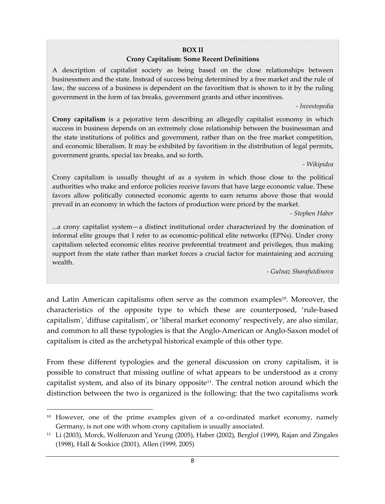#### **BOX II**

#### **Crony Capitalism: Some Recent Definitions**

A description of capitalist society as being based on the close relationships between businessmen and the state. Instead of success being determined by a free market and the rule of law, the success of a business is dependent on the favoritism that is shown to it by the ruling government in the form of tax breaks, government grants and other incentives.

*‐ Investopedia* 

**Crony capitalism** is a pejorative term describing an allegedly capitalist economy in which success in business depends on an extremely close relationship between the businessman and the state institutions of politics and government, rather than on the free market competition, and economic liberalism. It may be exhibited by favoritism in the distribution of legal permits, government grants, special tax breaks, and so forth.

*‐ Wikipidea*

Crony capitalism is usually thought of as a system in which those close to the political authorities who make and enforce policies receive favors that have large economic value. These favors allow politically connected economic agents to earn returns above those that would prevail in an economy in which the factors of production were priced by the market.

*‐ Stephen Haber*

...a crony capitalist system—a distinct institutional order characterized by the domination of informal elite groups that I refer to as economic‐political elite networks (EPNs). Under crony capitalism selected economic elites receive preferential treatment and privileges, thus making support from the state rather than market forces a crucial factor for maintaining and accruing wealth.

*‐ Gulnaz Sharafutdinova*

and Latin American capitalisms often serve as the common examples<sup>10</sup>. Moreover, the characteristics of the opposite type to which these are counterposed, 'rule‐based capitalismʹ, ʹdiffuse capitalismʹ, or 'liberal market economy' respectively, are also similar, and common to all these typologies is that the Anglo‐American or Anglo‐Saxon model of capitalism is cited as the archetypal historical example of this other type.

From these different typologies and the general discussion on crony capitalism, it is possible to construct that missing outline of what appears to be understood as a crony capitalist system, and also of its binary opposite<sup>11</sup>. The central notion around which the distinction between the two is organized is the following: that the two capitalisms work

<sup>&</sup>lt;sup>10</sup> However, one of the prime examples given of a co-ordinated market economy, namely Germany, is not one with whom crony capitalism is usually associated.

<sup>11</sup> Li (2003), Morck, Wolfenzon and Yeung (2005), Haber (2002), Berglof (1999), Rajan and Zingales (1998), Hall & Soskice (2001), Allen (1999, 2005)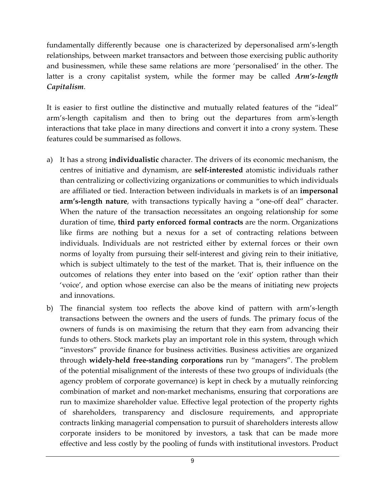fundamentally differently because one is characterized by depersonalised arm's‐length relationships, between market transactors and between those exercising public authority and businessmen, while these same relations are more 'personalised' in the other. The latter is a crony capitalist system, while the former may be called *Arm's‐length Capitalism*.

It is easier to first outline the distinctive and mutually related features of the "ideal" arm's‐length capitalism and then to bring out the departures from armʹs‐length interactions that take place in many directions and convert it into a crony system. These features could be summarised as follows.

- a) It has a strong **individualistic** character. The drivers of its economic mechanism, the centres of initiative and dynamism, are **self‐interested** atomistic individuals rather than centralizing or collectivizing organizations or communities to which individuals are affiliated or tied. Interaction between individuals in markets is of an **impersonal arm's‐length nature**, with transactions typically having a "one‐off deal" character. When the nature of the transaction necessitates an ongoing relationship for some duration of time, **third party enforced formal contracts** are the norm. Organizations like firms are nothing but a nexus for a set of contracting relations between individuals. Individuals are not restricted either by external forces or their own norms of loyalty from pursuing their self‐interest and giving rein to their initiative, which is subject ultimately to the test of the market. That is, their influence on the outcomes of relations they enter into based on the 'exit' option rather than their 'voice', and option whose exercise can also be the means of initiating new projects and innovations.
- b) The financial system too reflects the above kind of pattern with arm's‐length transactions between the owners and the users of funds. The primary focus of the owners of funds is on maximising the return that they earn from advancing their funds to others. Stock markets play an important role in this system, through which "investors" provide finance for business activities. Business activities are organized through **widely‐held free‐standing corporations** run by "managers". The problem of the potential misalignment of the interests of these two groups of individuals (the agency problem of corporate governance) is kept in check by a mutually reinforcing combination of market and non‐market mechanisms, ensuring that corporations are run to maximize shareholder value. Effective legal protection of the property rights of shareholders, transparency and disclosure requirements, and appropriate contracts linking managerial compensation to pursuit of shareholders interests allow corporate insiders to be monitored by investors, a task that can be made more effective and less costly by the pooling of funds with institutional investors. Product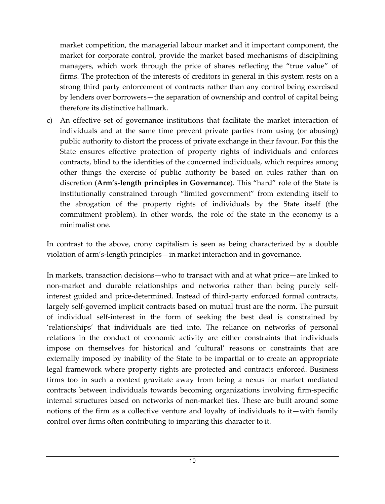market competition, the managerial labour market and it important component, the market for corporate control, provide the market based mechanisms of disciplining managers, which work through the price of shares reflecting the "true value" of firms. The protection of the interests of creditors in general in this system rests on a strong third party enforcement of contracts rather than any control being exercised by lenders over borrowers—the separation of ownership and control of capital being therefore its distinctive hallmark.

c) An effective set of governance institutions that facilitate the market interaction of individuals and at the same time prevent private parties from using (or abusing) public authority to distort the process of private exchange in their favour. For this the State ensures effective protection of property rights of individuals and enforces contracts, blind to the identities of the concerned individuals, which requires among other things the exercise of public authority be based on rules rather than on discretion (**Arm's‐length principles in Governance**). This "hard" role of the State is institutionally constrained through "limited government" from extending itself to the abrogation of the property rights of individuals by the State itself (the commitment problem). In other words, the role of the state in the economy is a minimalist one.

In contrast to the above, crony capitalism is seen as being characterized by a double violation of arm's‐length principles—in market interaction and in governance.

In markets, transaction decisions—who to transact with and at what price—are linked to non-market and durable relationships and networks rather than being purely selfinterest guided and price-determined. Instead of third-party enforced formal contracts, largely self‐governed implicit contracts based on mutual trust are the norm. The pursuit of individual self‐interest in the form of seeking the best deal is constrained by 'relationships' that individuals are tied into. The reliance on networks of personal relations in the conduct of economic activity are either constraints that individuals impose on themselves for historical and 'cultural' reasons or constraints that are externally imposed by inability of the State to be impartial or to create an appropriate legal framework where property rights are protected and contracts enforced. Business firms too in such a context gravitate away from being a nexus for market mediated contracts between individuals towards becoming organizations involving firm‐specific internal structures based on networks of non‐market ties. These are built around some notions of the firm as a collective venture and loyalty of individuals to it—with family control over firms often contributing to imparting this character to it.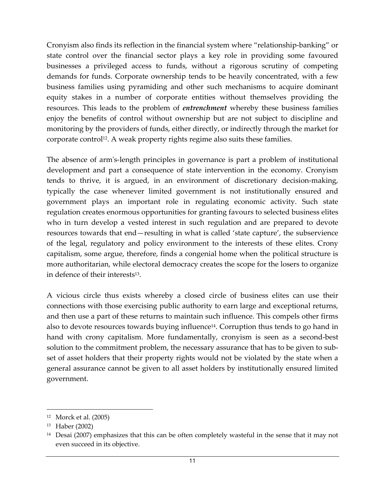Cronyism also finds its reflection in the financial system where "relationship‐banking" or state control over the financial sector plays a key role in providing some favoured businesses a privileged access to funds, without a rigorous scrutiny of competing demands for funds. Corporate ownership tends to be heavily concentrated, with a few business families using pyramiding and other such mechanisms to acquire dominant equity stakes in a number of corporate entities without themselves providing the resources. This leads to the problem of *entrenchment* whereby these business families enjoy the benefits of control without ownership but are not subject to discipline and monitoring by the providers of funds, either directly, or indirectly through the market for corporate control<sup>12</sup> . A weak property rights regime also suits these families.

The absence of armʹs‐length principles in governance is part a problem of institutional development and part a consequence of state intervention in the economy. Cronyism tends to thrive, it is argued, in an environment of discretionary decision‐making, typically the case whenever limited government is not institutionally ensured and government plays an important role in regulating economic activity. Such state regulation creates enormous opportunities for granting favours to selected business elites who in turn develop a vested interest in such regulation and are prepared to devote resources towards that end—resulting in what is called 'state capture', the subservience of the legal, regulatory and policy environment to the interests of these elites. Crony capitalism, some argue, therefore, finds a congenial home when the political structure is more authoritarian, while electoral democracy creates the scope for the losers to organize in defence of their interests<sup>13</sup>.

A vicious circle thus exists whereby a closed circle of business elites can use their connections with those exercising public authority to earn large and exceptional returns, and then use a part of these returns to maintain such influence. This compels other firms also to devote resources towards buying influence<sup>14</sup> . Corruption thus tends to go hand in hand with crony capitalism. More fundamentally, cronyism is seen as a second-best solution to the commitment problem, the necessary assurance that has to be given to subset of asset holders that their property rights would not be violated by the state when a general assurance cannot be given to all asset holders by institutionally ensured limited government.

<sup>12</sup> Morck et al. (2005)

<sup>13</sup> Haber (2002)

<sup>&</sup>lt;sup>14</sup> Desai (2007) emphasizes that this can be often completely wasteful in the sense that it may not even succeed in its objective.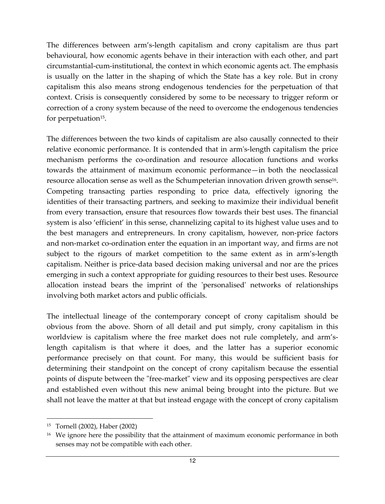The differences between arm's‐length capitalism and crony capitalism are thus part behavioural, how economic agents behave in their interaction with each other, and part circumstantial‐cum‐institutional, the context in which economic agents act. The emphasis is usually on the latter in the shaping of which the State has a key role. But in crony capitalism this also means strong endogenous tendencies for the perpetuation of that context. Crisis is consequently considered by some to be necessary to trigger reform or correction of a crony system because of the need to overcome the endogenous tendencies for perpetuation<sup>15</sup>.

The differences between the two kinds of capitalism are also causally connected to their relative economic performance. It is contended that in armʹs‐length capitalism the price mechanism performs the co-ordination and resource allocation functions and works towards the attainment of maximum economic performance—in both the neoclassical resource allocation sense as well as the Schumpeterian innovation driven growth sense<sup>16</sup> . Competing transacting parties responding to price data, effectively ignoring the identities of their transacting partners, and seeking to maximize their individual benefit from every transaction, ensure that resources flow towards their best uses. The financial system is also 'efficient' in this sense, channelizing capital to its highest value uses and to the best managers and entrepreneurs. In crony capitalism, however, non‐price factors and non‐market co‐ordination enter the equation in an important way, and firms are not subject to the rigours of market competition to the same extent as in arm's‐length capitalism. Neither is price‐data based decision making universal and nor are the prices emerging in such a context appropriate for guiding resources to their best uses. Resource allocation instead bears the imprint of the 'personalised' networks of relationships involving both market actors and public officials.

The intellectual lineage of the contemporary concept of crony capitalism should be obvious from the above. Shorn of all detail and put simply, crony capitalism in this worldview is capitalism where the free market does not rule completely, and arm'slength capitalism is that where it does, and the latter has a superior economic performance precisely on that count. For many, this would be sufficient basis for determining their standpoint on the concept of crony capitalism because the essential points of dispute between the "free-market" view and its opposing perspectives are clear and established even without this new animal being brought into the picture. But we shall not leave the matter at that but instead engage with the concept of crony capitalism

<sup>15</sup> Tornell (2002), Haber (2002)

<sup>&</sup>lt;sup>16</sup> We ignore here the possibility that the attainment of maximum economic performance in both senses may not be compatible with each other.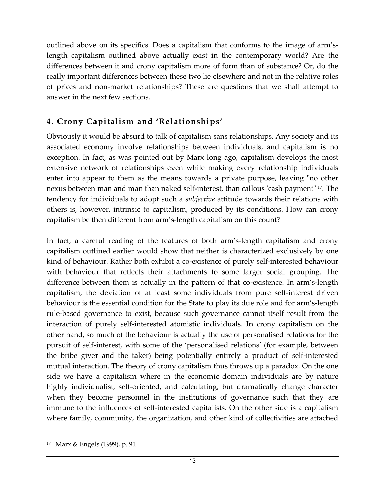outlined above on its specifics. Does a capitalism that conforms to the image of arm's‐ length capitalism outlined above actually exist in the contemporary world? Are the differences between it and crony capitalism more of form than of substance? Or, do the really important differences between these two lie elsewhere and not in the relative roles of prices and non‐market relationships? These are questions that we shall attempt to answer in the next few sections.

## **4. Crony Capitalism and 'Relationships'**

Obviously it would be absurd to talk of capitalism sans relationships. Any society and its associated economy involve relationships between individuals, and capitalism is no exception. In fact, as was pointed out by Marx long ago, capitalism develops the most extensive network of relationships even while making every relationship individuals enter into appear to them as the means towards a private purpose, leaving "no other nexus between man and man than naked self-interest, than callous 'cash payment'''<sup>17</sup>. The tendency for individuals to adopt such a *subjective* attitude towards their relations with others is, however, intrinsic to capitalism, produced by its conditions. How can crony capitalism be then different from arm's‐length capitalism on this count?

In fact, a careful reading of the features of both arm's-length capitalism and crony capitalism outlined earlier would show that neither is characterized exclusively by one kind of behaviour. Rather both exhibit a co-existence of purely self-interested behaviour with behaviour that reflects their attachments to some larger social grouping. The difference between them is actually in the pattern of that co-existence. In arm's-length capitalism, the deviation of at least some individuals from pure self-interest driven behaviour is the essential condition for the State to play its due role and for arm's‐length rule‐based governance to exist, because such governance cannot itself result from the interaction of purely self‐interested atomistic individuals. In crony capitalism on the other hand, so much of the behaviour is actually the use of personalised relations for the pursuit of self‐interest, with some of the 'personalised relations' (for example, between the bribe giver and the taker) being potentially entirely a product of self‐interested mutual interaction. The theory of crony capitalism thus throws up a paradox. On the one side we have a capitalism where in the economic domain individuals are by nature highly individualist, self-oriented, and calculating, but dramatically change character when they become personnel in the institutions of governance such that they are immune to the influences of self-interested capitalists. On the other side is a capitalism where family, community, the organization, and other kind of collectivities are attached

<sup>17</sup> Marx & Engels (1999), p. 91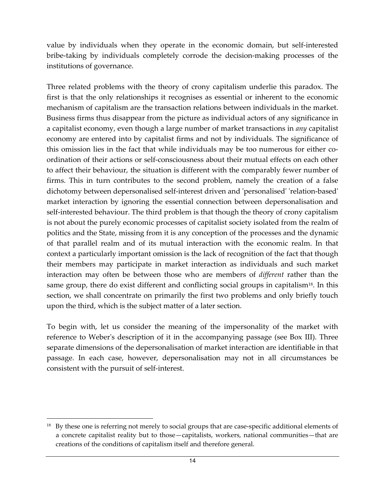value by individuals when they operate in the economic domain, but self-interested bribe‐taking by individuals completely corrode the decision‐making processes of the institutions of governance.

Three related problems with the theory of crony capitalism underlie this paradox. The first is that the only relationships it recognises as essential or inherent to the economic mechanism of capitalism are the transaction relations between individuals in the market. Business firms thus disappear from the picture as individual actors of any significance in a capitalist economy, even though a large number of market transactions in *any* capitalist economy are entered into by capitalist firms and not by individuals. The significance of this omission lies in the fact that while individuals may be too numerous for either co‐ ordination of their actions or self‐consciousness about their mutual effects on each other to affect their behaviour, the situation is different with the comparably fewer number of firms. This in turn contributes to the second problem, namely the creation of a false dichotomy between depersonalised self-interest driven and 'personalised' 'relation-based' market interaction by ignoring the essential connection between depersonalisation and self-interested behaviour. The third problem is that though the theory of crony capitalism is not about the purely economic processes of capitalist society isolated from the realm of politics and the State, missing from it is any conception of the processes and the dynamic of that parallel realm and of its mutual interaction with the economic realm. In that context a particularly important omission is the lack of recognition of the fact that though their members may participate in market interaction as individuals and such market interaction may often be between those who are members of *different* rather than the same group, there do exist different and conflicting social groups in capitalism<sup>18</sup> . In this section, we shall concentrate on primarily the first two problems and only briefly touch upon the third, which is the subject matter of a later section.

To begin with, let us consider the meaning of the impersonality of the market with reference to Weber's description of it in the accompanying passage (see Box III). Three separate dimensions of the depersonalisation of market interaction are identifiable in that passage. In each case, however, depersonalisation may not in all circumstances be consistent with the pursuit of self‐interest.

<sup>&</sup>lt;sup>18</sup> By these one is referring not merely to social groups that are case-specific additional elements of a concrete capitalist reality but to those—capitalists, workers, national communities—that are creations of the conditions of capitalism itself and therefore general.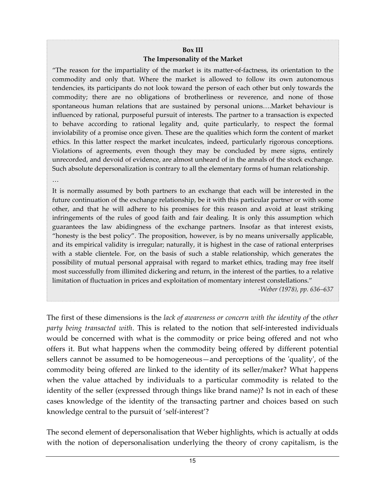#### **Box III The Impersonality of the Market**

"The reason for the impartiality of the market is its matter‐of‐factness, its orientation to the commodity and only that. Where the market is allowed to follow its own autonomous tendencies, its participants do not look toward the person of each other but only towards the commodity; there are no obligations of brotherliness or reverence, and none of those spontaneous human relations that are sustained by personal unions....Market behaviour is influenced by rational, purposeful pursuit of interests. The partner to a transaction is expected to behave according to rational legality and, quite particularly, to respect the formal inviolability of a promise once given. These are the qualities which form the content of market ethics. In this latter respect the market inculcates, indeed, particularly rigorous conceptions. Violations of agreements, even though they may be concluded by mere signs, entirely unrecorded, and devoid of evidence, are almost unheard of in the annals of the stock exchange. Such absolute depersonalization is contrary to all the elementary forms of human relationship.

…

It is normally assumed by both partners to an exchange that each will be interested in the future continuation of the exchange relationship, be it with this particular partner or with some other, and that he will adhere to his promises for this reason and avoid at least striking infringements of the rules of good faith and fair dealing. It is only this assumption which guarantees the law abidingness of the exchange partners. Insofar as that interest exists, "honesty is the best policy". The proposition, however, is by no means universally applicable, and its empirical validity is irregular; naturally, it is highest in the case of rational enterprises with a stable clientele. For, on the basis of such a stable relationship, which generates the possibility of mutual personal appraisal with regard to market ethics, trading may free itself most successfully from illimited dickering and return, in the interest of the parties, to a relative limitation of fluctuation in prices and exploitation of momentary interest constellations."

*‐Weber (1978), pp. 636–637*

The first of these dimensions is the *lack of awareness or concern with the identity of* the *other party being transacted with*. This is related to the notion that self‐interested individuals would be concerned with what is the commodity or price being offered and not who offers it. But what happens when the commodity being offered by different potential sellers cannot be assumed to be homogeneous—and perceptions of the 'quality', of the commodity being offered are linked to the identity of its seller/maker? What happens when the value attached by individuals to a particular commodity is related to the identity of the seller (expressed through things like brand name)? Is not in each of these cases knowledge of the identity of the transacting partner and choices based on such knowledge central to the pursuit of 'self‐interest'?

The second element of depersonalisation that Weber highlights, which is actually at odds with the notion of depersonalisation underlying the theory of crony capitalism, is the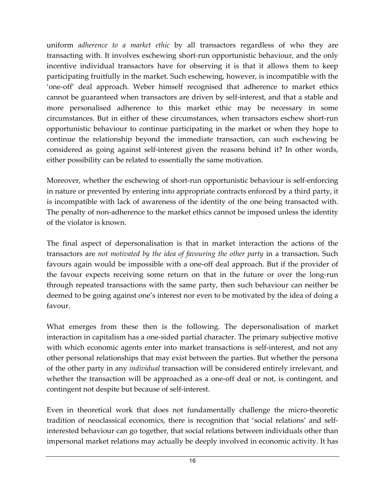uniform *adherence to a market ethic* by all transactors regardless of who they are transacting with. It involves eschewing short‐run opportunistic behaviour, and the only incentive individual transactors have for observing it is that it allows them to keep participating fruitfully in the market. Such eschewing, however, is incompatible with the 'one‐off' deal approach. Weber himself recognised that adherence to market ethics cannot be guaranteed when transactors are driven by self‐interest, and that a stable and more personalised adherence to this market ethic may be necessary in some circumstances. But in either of these circumstances, when transactors eschew short‐run opportunistic behaviour to continue participating in the market or when they hope to continue the relationship beyond the immediate transaction, can such eschewing be considered as going against self‐interest given the reasons behind it? In other words, either possibility can be related to essentially the same motivation.

Moreover, whether the eschewing of short-run opportunistic behaviour is self-enforcing in nature or prevented by entering into appropriate contracts enforced by a third party, it is incompatible with lack of awareness of the identity of the one being transacted with. The penalty of non-adherence to the market ethics cannot be imposed unless the identity of the violator is known.

The final aspect of depersonalisation is that in market interaction the actions of the transactors are *not motivated by the idea of favouring the other party* in a transaction. Such favours again would be impossible with a one‐off deal approach. But if the provider of the favour expects receiving some return on that in the future or over the long‐run through repeated transactions with the same party, then such behaviour can neither be deemed to be going against one's interest nor even to be motivated by the idea of doing a favour.

What emerges from these then is the following. The depersonalisation of market interaction in capitalism has a one‐sided partial character. The primary subjective motive with which economic agents enter into market transactions is self-interest, and not any other personal relationships that may exist between the parties. But whether the persona of the other party in any *individual* transaction will be considered entirely irrelevant, and whether the transaction will be approached as a one-off deal or not, is contingent, and contingent not despite but because of self‐interest.

Even in theoretical work that does not fundamentally challenge the micro‐theoretic tradition of neoclassical economics, there is recognition that 'social relations' and self‐ interested behaviour can go together, that social relations between individuals other than impersonal market relations may actually be deeply involved in economic activity. It has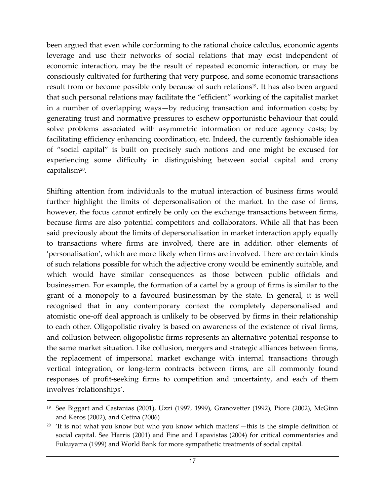been argued that even while conforming to the rational choice calculus, economic agents leverage and use their networks of social relations that may exist independent of economic interaction, may be the result of repeated economic interaction, or may be consciously cultivated for furthering that very purpose, and some economic transactions result from or become possible only because of such relations<sup>19</sup>. It has also been argued that such personal relations may facilitate the "efficient" working of the capitalist market in a number of overlapping ways—by reducing transaction and information costs; by generating trust and normative pressures to eschew opportunistic behaviour that could solve problems associated with asymmetric information or reduce agency costs; by facilitating efficiency enhancing coordination, etc. Indeed, the currently fashionable idea of "social capital" is built on precisely such notions and one might be excused for experiencing some difficulty in distinguishing between social capital and crony capitalism<sup>20</sup> .

Shifting attention from individuals to the mutual interaction of business firms would further highlight the limits of depersonalisation of the market. In the case of firms, however, the focus cannot entirely be only on the exchange transactions between firms, because firms are also potential competitors and collaborators. While all that has been said previously about the limits of depersonalisation in market interaction apply equally to transactions where firms are involved, there are in addition other elements of 'personalisation', which are more likely when firms are involved. There are certain kinds of such relations possible for which the adjective crony would be eminently suitable, and which would have similar consequences as those between public officials and businessmen. For example, the formation of a cartel by a group of firms is similar to the grant of a monopoly to a favoured businessman by the state. In general, it is well recognised that in any contemporary context the completely depersonalised and atomistic one‐off deal approach is unlikely to be observed by firms in their relationship to each other. Oligopolistic rivalry is based on awareness of the existence of rival firms, and collusion between oligopolistic firms represents an alternative potential response to the same market situation. Like collusion, mergers and strategic alliances between firms, the replacement of impersonal market exchange with internal transactions through vertical integration, or long‐term contracts between firms, are all commonly found responses of profit‐seeking firms to competition and uncertainty, and each of them involves 'relationships'.

<sup>&</sup>lt;sup>19</sup> See Biggart and Castanias (2001), Uzzi (1997, 1999), Granovetter (1992), Piore (2002), McGinn and Keros (2002), and Cetina (2006)

 $20$  'It is not what you know but who you know which matters'—this is the simple definition of social capital. See Harris (2001) and Fine and Lapavistas (2004) for critical commentaries and Fukuyama (1999) and World Bank for more sympathetic treatments of social capital.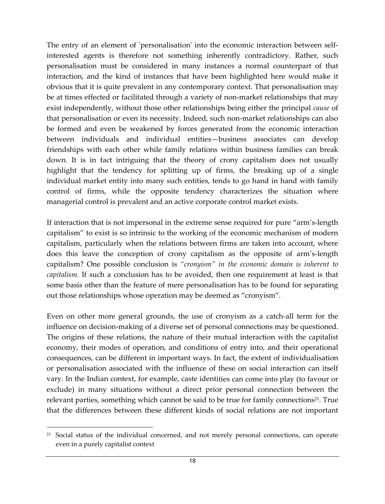The entry of an element of 'personalisation' into the economic interaction between selfinterested agents is therefore not something inherently contradictory. Rather, such personalisation must be considered in many instances a normal counterpart of that interaction, and the kind of instances that have been highlighted here would make it obvious that it is quite prevalent in any contemporary context. That personalisation may be at times effected or facilitated through a variety of non‐market relationships that may exist independently, without those other relationships being either the principal *cause* of that personalisation or even its necessity. Indeed, such non‐market relationships can also be formed and even be weakened by forces generated from the economic interaction between individuals and individual entities—business associates can develop friendships with each other while family relations within business families can break down. It is in fact intriguing that the theory of crony capitalism does not usually highlight that the tendency for splitting up of firms, the breaking up of a single individual market entity into many such entities, tends to go hand in hand with family control of firms, while the opposite tendency characterizes the situation where managerial control is prevalent and an active corporate control market exists.

If interaction that is not impersonal in the extreme sense required for pure "arm's‐length capitalism" to exist is so intrinsic to the working of the economic mechanism of modern capitalism, particularly when the relations between firms are taken into account, where does this leave the conception of crony capitalism as the opposite of arm's‐length capitalism? One possible conclusion is *"cronyism" in the economic domain is inherent to capitalism.* If such a conclusion has to be avoided, then one requirement at least is that some basis other than the feature of mere personalisation has to be found for separating out those relationships whose operation may be deemed as "cronyism"*.*

Even on other more general grounds, the use of cronyism as a catch‐all term for the influence on decision-making of a diverse set of personal connections may be questioned. The origins of these relations, the nature of their mutual interaction with the capitalist economy, their modes of operation, and conditions of entry into, and their operational consequences, can be different in important ways. In fact, the extent of individualisation or personalisation associated with the influence of these on social interaction can itself vary. In the Indian context, for example, caste identities can come into play (to favour or exclude) in many situations without a direct prior personal connection between the relevant parties, something which cannot be said to be true for family connections<sup>21</sup>. True that the differences between these different kinds of social relations are not important

<sup>&</sup>lt;sup>21</sup> Social status of the individual concerned, and not merely personal connections, can operate even in a purely capitalist context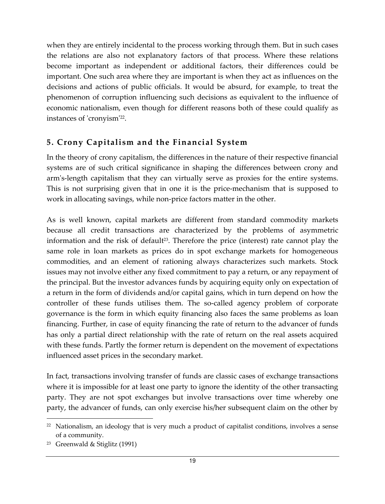when they are entirely incidental to the process working through them. But in such cases the relations are also not explanatory factors of that process. Where these relations become important as independent or additional factors, their differences could be important. One such area where they are important is when they act as influences on the decisions and actions of public officials. It would be absurd, for example, to treat the phenomenon of corruption influencing such decisions as equivalent to the influence of economic nationalism, even though for different reasons both of these could qualify as instances of 'cronyism'<sup>22</sup>.

## **5. Crony Capitalism and the Financial System**

In the theory of crony capitalism, the differences in the nature of their respective financial systems are of such critical significance in shaping the differences between crony and armʹs‐length capitalism that they can virtually serve as proxies for the entire systems. This is not surprising given that in one it is the price-mechanism that is supposed to work in allocating savings, while non‐price factors matter in the other.

As is well known, capital markets are different from standard commodity markets because all credit transactions are characterized by the problems of asymmetric information and the risk of default<sup>23</sup>. Therefore the price (interest) rate cannot play the same role in loan markets as prices do in spot exchange markets for homogeneous commodities, and an element of rationing always characterizes such markets. Stock issues may not involve either any fixed commitment to pay a return, or any repayment of the principal. But the investor advances funds by acquiring equity only on expectation of a return in the form of dividends and/or capital gains, which in turn depend on how the controller of these funds utilises them. The so-called agency problem of corporate governance is the form in which equity financing also faces the same problems as loan financing. Further, in case of equity financing the rate of return to the advancer of funds has only a partial direct relationship with the rate of return on the real assets acquired with these funds. Partly the former return is dependent on the movement of expectations influenced asset prices in the secondary market.

In fact, transactions involving transfer of funds are classic cases of exchange transactions where it is impossible for at least one party to ignore the identity of the other transacting party. They are not spot exchanges but involve transactions over time whereby one party, the advancer of funds, can only exercise his/her subsequent claim on the other by

 $2<sup>22</sup>$  Nationalism, an ideology that is very much a product of capitalist conditions, involves a sense of a community.

<sup>23</sup> Greenwald & Stiglitz (1991)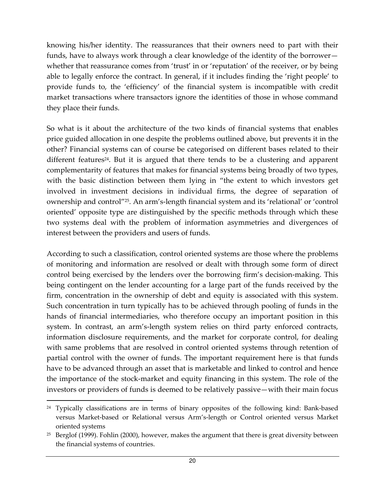knowing his/her identity. The reassurances that their owners need to part with their funds, have to always work through a clear knowledge of the identity of the borrower whether that reassurance comes from 'trust' in or 'reputation' of the receiver, or by being able to legally enforce the contract. In general, if it includes finding the 'right people' to provide funds to, the 'efficiency' of the financial system is incompatible with credit market transactions where transactors ignore the identities of those in whose command they place their funds.

So what is it about the architecture of the two kinds of financial systems that enables price guided allocation in one despite the problems outlined above, but prevents it in the other? Financial systems can of course be categorised on different bases related to their different features<sup>24</sup>. But it is argued that there tends to be a clustering and apparent complementarity of features that makes for financial systems being broadly of two types, with the basic distinction between them lying in "the extent to which investors get involved in investment decisions in individual firms, the degree of separation of ownership and control"<sup>25</sup> . An arm's‐length financial system and its 'relational' or 'control oriented' opposite type are distinguished by the specific methods through which these two systems deal with the problem of information asymmetries and divergences of interest between the providers and users of funds.

According to such a classification, control oriented systems are those where the problems of monitoring and information are resolved or dealt with through some form of direct control being exercised by the lenders over the borrowing firm's decision-making. This being contingent on the lender accounting for a large part of the funds received by the firm, concentration in the ownership of debt and equity is associated with this system. Such concentration in turn typically has to be achieved through pooling of funds in the hands of financial intermediaries, who therefore occupy an important position in this system. In contrast, an arm's‐length system relies on third party enforced contracts, information disclosure requirements, and the market for corporate control, for dealing with same problems that are resolved in control oriented systems through retention of partial control with the owner of funds. The important requirement here is that funds have to be advanced through an asset that is marketable and linked to control and hence the importance of the stock‐market and equity financing in this system. The role of the investors or providers of funds is deemed to be relatively passive—with their main focus

 $24$  Typically classifications are in terms of binary opposites of the following kind: Bank-based versus Market‐based or Relational versus Arm's‐length or Control oriented versus Market oriented systems

 $25$  Berglof (1999). Fohlin (2000), however, makes the argument that there is great diversity between the financial systems of countries.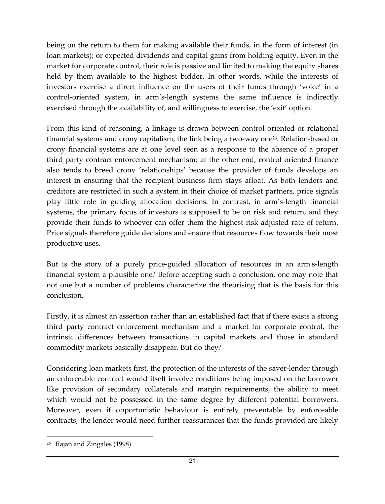being on the return to them for making available their funds, in the form of interest (in loan markets); or expected dividends and capital gains from holding equity. Even in the market for corporate control, their role is passive and limited to making the equity shares held by them available to the highest bidder. In other words, while the interests of investors exercise a direct influence on the users of their funds through 'voice' in a control‐oriented system, in arm's‐length systems the same influence is indirectly exercised through the availability of, and willingness to exercise, the 'exit' option.

From this kind of reasoning, a linkage is drawn between control oriented or relational financial systems and crony capitalism, the link being a two-way one<sup>26</sup>. Relation-based or crony financial systems are at one level seen as a response to the absence of a proper third party contract enforcement mechanism; at the other end, control oriented finance also tends to breed crony 'relationships' because the provider of funds develops an interest in ensuring that the recipient business firm stays afloat. As both lenders and creditors are restricted in such a system in their choice of market partners, price signals play little role in guiding allocation decisions. In contrast, in arm's‐length financial systems, the primary focus of investors is supposed to be on risk and return, and they provide their funds to whoever can offer them the highest risk adjusted rate of return. Price signals therefore guide decisions and ensure that resources flow towards their most productive uses.

But is the story of a purely price-guided allocation of resources in an arm's-length financial system a plausible one? Before accepting such a conclusion, one may note that not one but a number of problems characterize the theorising that is the basis for this conclusion.

Firstly, it is almost an assertion rather than an established fact that if there exists a strong third party contract enforcement mechanism and a market for corporate control, the intrinsic differences between transactions in capital markets and those in standard commodity markets basically disappear. But do they?

Considering loan markets first, the protection of the interests of the saver-lender through an enforceable contract would itself involve conditions being imposed on the borrower like provision of secondary collaterals and margin requirements, the ability to meet which would not be possessed in the same degree by different potential borrowers. Moreover, even if opportunistic behaviour is entirely preventable by enforceable contracts, the lender would need further reassurances that the funds provided are likely

<sup>26</sup> Rajan and Zingales (1998)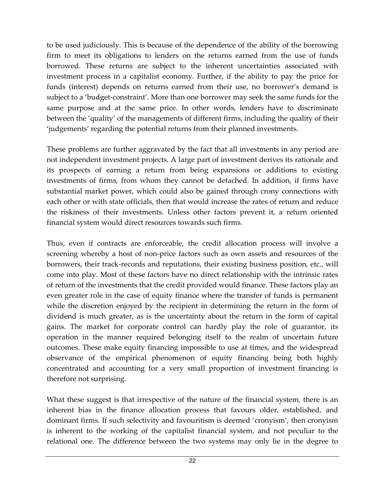to be used judiciously. This is because of the dependence of the ability of the borrowing firm to meet its obligations to lenders on the returns earned from the use of funds borrowed. These returns are subject to the inherent uncertainties associated with investment process in a capitalist economy. Further, if the ability to pay the price for funds (interest) depends on returns earned from their use, no borrower's demand is subject to a 'budget-constraint'. More than one borrower may seek the same funds for the same purpose and at the same price. In other words, lenders have to discriminate between the 'quality' of the managements of different firms, including the quality of their 'judgements' regarding the potential returns from their planned investments.

These problems are further aggravated by the fact that all investments in any period are not independent investment projects. A large part of investment derives its rationale and its prospects of earning a return from being expansions or additions to existing investments of firms, from whom they cannot be detached. In addition, if firms have substantial market power, which could also be gained through crony connections with each other or with state officials, then that would increase the rates of return and reduce the riskiness of their investments. Unless other factors prevent it, a return oriented financial system would direct resources towards such firms.

Thus, even if contracts are enforceable, the credit allocation process will involve a screening whereby a host of non‐price factors such as own assets and resources of the borrowers, their track‐records and reputations, their existing business position, etc., will come into play. Most of these factors have no direct relationship with the intrinsic rates of return of the investments that the credit provided would finance. These factors play an even greater role in the case of equity finance where the transfer of funds is permanent while the discretion enjoyed by the recipient in determining the return in the form of dividend is much greater, as is the uncertainty about the return in the form of capital gains. The market for corporate control can hardly play the role of guarantor, its operation in the manner required belonging itself to the realm of uncertain future outcomes. These make equity financing impossible to use at times, and the widespread observance of the empirical phenomenon of equity financing being both highly concentrated and accounting for a very small proportion of investment financing is therefore not surprising.

What these suggest is that irrespective of the nature of the financial system, there is an inherent bias in the finance allocation process that favours older, established, and dominant firms. If such selectivity and favouritism is deemed 'cronyism', then cronyism is inherent to the working of the capitalist financial system, and not peculiar to the relational one. The difference between the two systems may only lie in the degree to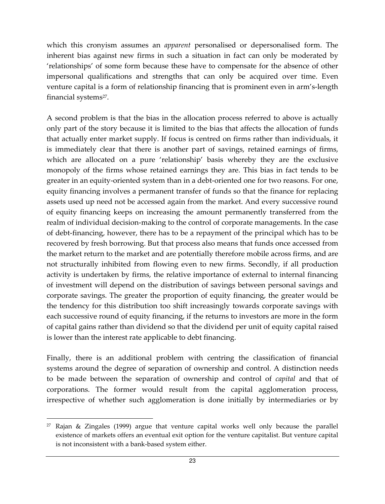which this cronyism assumes an *apparent* personalised or depersonalised form. The inherent bias against new firms in such a situation in fact can only be moderated by 'relationships' of some form because these have to compensate for the absence of other impersonal qualifications and strengths that can only be acquired over time. Even venture capital is a form of relationship financing that is prominent even in arm's‐length financial systems<sup>27</sup>.

A second problem is that the bias in the allocation process referred to above is actually only part of the story because it is limited to the bias that affects the allocation of funds that actually enter market supply. If focus is centred on firms rather than individuals, it is immediately clear that there is another part of savings, retained earnings of firms, which are allocated on a pure 'relationship' basis whereby they are the exclusive monopoly of the firms whose retained earnings they are. This bias in fact tends to be greater in an equity-oriented system than in a debt-oriented one for two reasons. For one, equity financing involves a permanent transfer of funds so that the finance for replacing assets used up need not be accessed again from the market. And every successive round of equity financing keeps on increasing the amount permanently transferred from the realm of individual decision‐making to the control of corporate managements. In the case of debt-financing, however, there has to be a repayment of the principal which has to be recovered by fresh borrowing. But that process also means that funds once accessed from the market return to the market and are potentially therefore mobile across firms, and are not structurally inhibited from flowing even to new firms. Secondly, if all production activity is undertaken by firms, the relative importance of external to internal financing of investment will depend on the distribution of savings between personal savings and corporate savings. The greater the proportion of equity financing, the greater would be the tendency for this distribution too shift increasingly towards corporate savings with each successive round of equity financing, if the returns to investors are more in the form of capital gains rather than dividend so that the dividend per unit of equity capital raised is lower than the interest rate applicable to debt financing.

Finally, there is an additional problem with centring the classification of financial systems around the degree of separation of ownership and control. A distinction needs to be made between the separation of ownership and control of *capital* and that of corporations. The former would result from the capital agglomeration process, irrespective of whether such agglomeration is done initially by intermediaries or by

 $2<sup>27</sup>$  Rajan & Zingales (1999) argue that venture capital works well only because the parallel existence of markets offers an eventual exit option for the venture capitalist. But venture capital is not inconsistent with a bank‐based system either.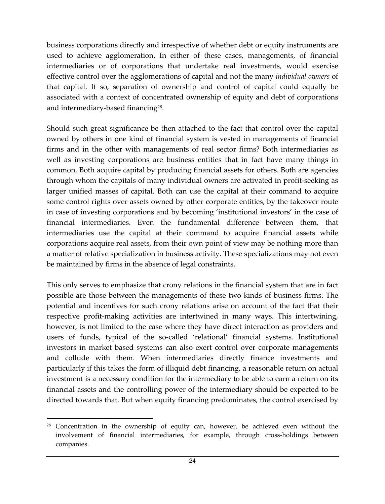business corporations directly and irrespective of whether debt or equity instruments are used to achieve agglomeration. In either of these cases, managements, of financial intermediaries or of corporations that undertake real investments, would exercise effective control over the agglomerations of capital and not the many *individual owners* of that capital. If so, separation of ownership and control of capital could equally be associated with a context of concentrated ownership of equity and debt of corporations and intermediary-based financing<sup>28</sup>.

Should such great significance be then attached to the fact that control over the capital owned by others in one kind of financial system is vested in managements of financial firms and in the other with managements of real sector firms? Both intermediaries as well as investing corporations are business entities that in fact have many things in common. Both acquire capital by producing financial assets for others. Both are agencies through whom the capitals of many individual owners are activated in profit‐seeking as larger unified masses of capital. Both can use the capital at their command to acquire some control rights over assets owned by other corporate entities, by the takeover route in case of investing corporations and by becoming 'institutional investors' in the case of financial intermediaries. Even the fundamental difference between them, that intermediaries use the capital at their command to acquire financial assets while corporations acquire real assets, from their own point of view may be nothing more than a matter of relative specialization in business activity. These specializations may not even be maintained by firms in the absence of legal constraints.

This only serves to emphasize that crony relations in the financial system that are in fact possible are those between the managements of these two kinds of business firms. The potential and incentives for such crony relations arise on account of the fact that their respective profit‐making activities are intertwined in many ways. This intertwining, however, is not limited to the case where they have direct interaction as providers and users of funds, typical of the so-called 'relational' financial systems. Institutional investors in market based systems can also exert control over corporate managements and collude with them. When intermediaries directly finance investments and particularly if this takes the form of illiquid debt financing, a reasonable return on actual investment is a necessary condition for the intermediary to be able to earn a return on its financial assets and the controlling power of the intermediary should be expected to be directed towards that. But when equity financing predominates, the control exercised by

 $2<sup>28</sup>$  Concentration in the ownership of equity can, however, be achieved even without the involvement of financial intermediaries, for example, through cross-holdings between companies.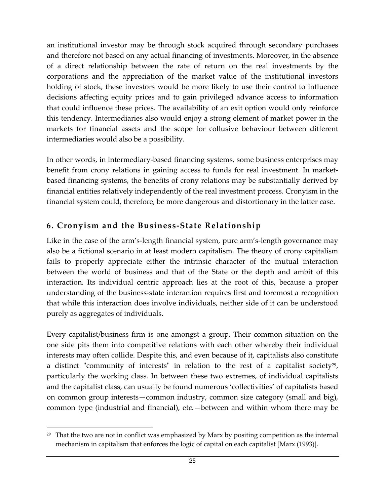an institutional investor may be through stock acquired through secondary purchases and therefore not based on any actual financing of investments. Moreover, in the absence of a direct relationship between the rate of return on the real investments by the corporations and the appreciation of the market value of the institutional investors holding of stock, these investors would be more likely to use their control to influence decisions affecting equity prices and to gain privileged advance access to information that could influence these prices. The availability of an exit option would only reinforce this tendency. Intermediaries also would enjoy a strong element of market power in the markets for financial assets and the scope for collusive behaviour between different intermediaries would also be a possibility.

In other words, in intermediary-based financing systems, some business enterprises may benefit from crony relations in gaining access to funds for real investment. In marketbased financing systems, the benefits of crony relations may be substantially derived by financial entities relatively independently of the real investment process. Cronyism in the financial system could, therefore, be more dangerous and distortionary in the latter case.

## **6. Cronyism and the Business‐State Relationship**

Like in the case of the arm's‐length financial system, pure arm's‐length governance may also be a fictional scenario in at least modern capitalism. The theory of crony capitalism fails to properly appreciate either the intrinsic character of the mutual interaction between the world of business and that of the State or the depth and ambit of this interaction. Its individual centric approach lies at the root of this, because a proper understanding of the business‐state interaction requires first and foremost a recognition that while this interaction does involve individuals, neither side of it can be understood purely as aggregates of individuals.

Every capitalist/business firm is one amongst a group. Their common situation on the one side pits them into competitive relations with each other whereby their individual interests may often collide. Despite this, and even because of it, capitalists also constitute a distinct "community of interests" in relation to the rest of a capitalist society<sup>29</sup>, particularly the working class. In between these two extremes, of individual capitalists and the capitalist class, can usually be found numerous 'collectivities' of capitalists based on common group interests—common industry, common size category (small and big), common type (industrial and financial), etc.—between and within whom there may be

 $29$  That the two are not in conflict was emphasized by Marx by positing competition as the internal mechanism in capitalism that enforces the logic of capital on each capitalist [Marx (1993)].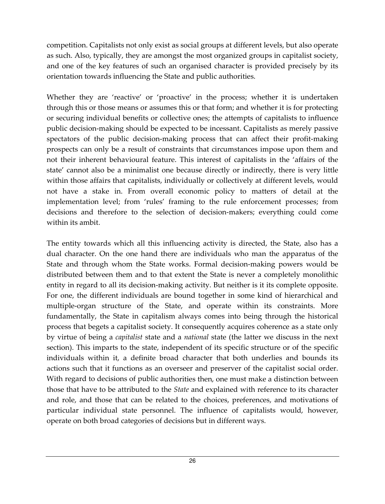competition. Capitalists not only exist as social groups at different levels, but also operate as such. Also, typically, they are amongst the most organized groups in capitalist society, and one of the key features of such an organised character is provided precisely by its orientation towards influencing the State and public authorities.

Whether they are 'reactive' or 'proactive' in the process; whether it is undertaken through this or those means or assumes this or that form; and whether it is for protecting or securing individual benefits or collective ones; the attempts of capitalists to influence public decision‐making should be expected to be incessant. Capitalists as merely passive spectators of the public decision-making process that can affect their profit-making prospects can only be a result of constraints that circumstances impose upon them and not their inherent behavioural feature. This interest of capitalists in the 'affairs of the state' cannot also be a minimalist one because directly or indirectly, there is very little within those affairs that capitalists, individually or collectively at different levels, would not have a stake in. From overall economic policy to matters of detail at the implementation level; from 'rules' framing to the rule enforcement processes; from decisions and therefore to the selection of decision‐makers; everything could come within its ambit.

The entity towards which all this influencing activity is directed, the State, also has a dual character. On the one hand there are individuals who man the apparatus of the State and through whom the State works. Formal decision-making powers would be distributed between them and to that extent the State is never a completely monolithic entity in regard to all its decision‐making activity. But neither is it its complete opposite. For one, the different individuals are bound together in some kind of hierarchical and multiple‐organ structure of the State, and operate within its constraints. More fundamentally, the State in capitalism always comes into being through the historical process that begets a capitalist society. It consequently acquires coherence as a state only by virtue of being a *capitalist* state and a *national* state (the latter we discuss in the next section). This imparts to the state, independent of its specific structure or of the specific individuals within it, a definite broad character that both underlies and bounds its actions such that it functions as an overseer and preserver of the capitalist social order. With regard to decisions of public authorities then, one must make a distinction between those that have to be attributed to the *State* and explained with reference to its character and role, and those that can be related to the choices, preferences, and motivations of particular individual state personnel. The influence of capitalists would, however, operate on both broad categories of decisions but in different ways.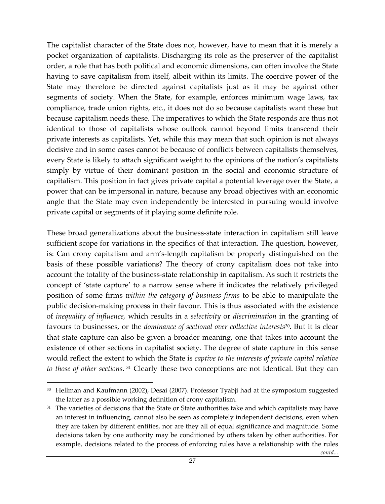The capitalist character of the State does not, however, have to mean that it is merely a pocket organization of capitalists. Discharging its role as the preserver of the capitalist order, a role that has both political and economic dimensions, can often involve the State having to save capitalism from itself, albeit within its limits. The coercive power of the State may therefore be directed against capitalists just as it may be against other segments of society. When the State, for example, enforces minimum wage laws, tax compliance, trade union rights, etc., it does not do so because capitalists want these but because capitalism needs these. The imperatives to which the State responds are thus not identical to those of capitalists whose outlook cannot beyond limits transcend their private interests as capitalists. Yet, while this may mean that such opinion is not always decisive and in some cases cannot be because of conflicts between capitalists themselves, every State is likely to attach significant weight to the opinions of the nation's capitalists simply by virtue of their dominant position in the social and economic structure of capitalism. This position in fact gives private capital a potential leverage over the State, a power that can be impersonal in nature, because any broad objectives with an economic angle that the State may even independently be interested in pursuing would involve private capital or segments of it playing some definite role.

These broad generalizations about the business‐state interaction in capitalism still leave sufficient scope for variations in the specifics of that interaction. The question, however, is: Can crony capitalism and arm's‐length capitalism be properly distinguished on the basis of these possible variations? The theory of crony capitalism does not take into account the totality of the business‐state relationship in capitalism. As such it restricts the concept of 'state capture' to a narrow sense where it indicates the relatively privileged position of some firms *within the category of business firms* to be able to manipulate the public decision‐making process in their favour. This is thus associated with the existence of *inequality of influence,* which results in a *selectivity* or *discrimination* in the granting of favours to businesses, or the *dominance of sectional over collective interests*<sup>30</sup> . But it is clear that state capture can also be given a broader meaning, one that takes into account the existence of other sections in capitalist society. The degree of state capture in this sense would reflect the extent to which the State is *captive to the interests of private capital relative to those of other sections*. <sup>31</sup> Clearly these two conceptions are not identical. But they can

<u> 1989 - Johann Barn, mars ann an t-Amhain an t-Amhain an t-Amhain an t-Amhain an t-Amhain an t-Amhain an t-Amh</u>

<sup>&</sup>lt;sup>30</sup> Hellman and Kaufmann (2002), Desai (2007). Professor Tyabji had at the symposium suggested the latter as a possible working definition of crony capitalism.

<sup>&</sup>lt;sup>31</sup> The varieties of decisions that the State or State authorities take and which capitalists may have an interest in influencing, cannot also be seen as completely independent decisions, even when they are taken by different entities, nor are they all of equal significance and magnitude. Some decisions taken by one authority may be conditioned by others taken by other authorities. For example, decisions related to the process of enforcing rules have a relationship with the rules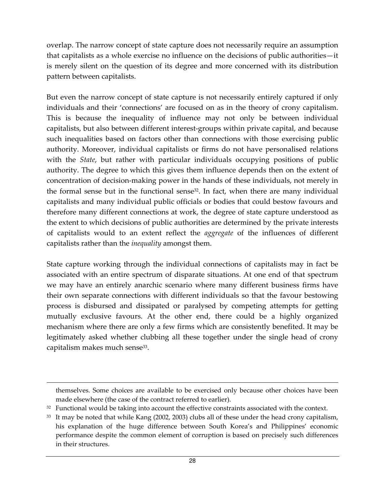overlap. The narrow concept of state capture does not necessarily require an assumption that capitalists as a whole exercise no influence on the decisions of public authorities—it is merely silent on the question of its degree and more concerned with its distribution pattern between capitalists.

But even the narrow concept of state capture is not necessarily entirely captured if only individuals and their 'connections' are focused on as in the theory of crony capitalism. This is because the inequality of influence may not only be between individual capitalists, but also between different interest‐groups within private capital, and because such inequalities based on factors other than connections with those exercising public authority. Moreover, individual capitalists or firms do not have personalised relations with the *State*, but rather with particular individuals occupying positions of public authority. The degree to which this gives them influence depends then on the extent of concentration of decision‐making power in the hands of these individuals, not merely in the formal sense but in the functional sense<sup>32</sup>. In fact, when there are many individual capitalists and many individual public officials or bodies that could bestow favours and therefore many different connections at work, the degree of state capture understood as the extent to which decisions of public authorities are determined by the private interests of capitalists would to an extent reflect the *aggregate* of the influences of different capitalists rather than the *inequality* amongst them.

State capture working through the individual connections of capitalists may in fact be associated with an entire spectrum of disparate situations. At one end of that spectrum we may have an entirely anarchic scenario where many different business firms have their own separate connections with different individuals so that the favour bestowing process is disbursed and dissipated or paralysed by competing attempts for getting mutually exclusive favours. At the other end, there could be a highly organized mechanism where there are only a few firms which are consistently benefited. It may be legitimately asked whether clubbing all these together under the single head of crony capitalism makes much sense<sup>33</sup>.

themselves. Some choices are available to be exercised only because other choices have been made elsewhere (the case of the contract referred to earlier).

 $32$  Functional would be taking into account the effective constraints associated with the context.

<sup>&</sup>lt;sup>33</sup> It may be noted that while Kang (2002, 2003) clubs all of these under the head crony capitalism, his explanation of the huge difference between South Korea's and Philippines' economic performance despite the common element of corruption is based on precisely such differences in their structures.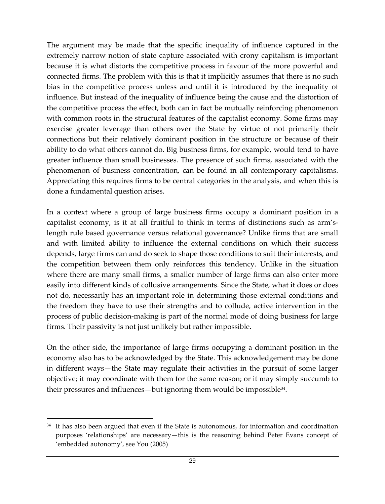The argument may be made that the specific inequality of influence captured in the extremely narrow notion of state capture associated with crony capitalism is important because it is what distorts the competitive process in favour of the more powerful and connected firms. The problem with this is that it implicitly assumes that there is no such bias in the competitive process unless and until it is introduced by the inequality of influence. But instead of the inequality of influence being the cause and the distortion of the competitive process the effect, both can in fact be mutually reinforcing phenomenon with common roots in the structural features of the capitalist economy. Some firms may exercise greater leverage than others over the State by virtue of not primarily their connections but their relatively dominant position in the structure or because of their ability to do what others cannot do. Big business firms, for example, would tend to have greater influence than small businesses. The presence of such firms, associated with the phenomenon of business concentration, can be found in all contemporary capitalisms. Appreciating this requires firms to be central categories in the analysis, and when this is done a fundamental question arises.

In a context where a group of large business firms occupy a dominant position in a capitalist economy, is it at all fruitful to think in terms of distinctions such as arm's‐ length rule based governance versus relational governance? Unlike firms that are small and with limited ability to influence the external conditions on which their success depends, large firms can and do seek to shape those conditions to suit their interests, and the competition between them only reinforces this tendency. Unlike in the situation where there are many small firms, a smaller number of large firms can also enter more easily into different kinds of collusive arrangements. Since the State, what it does or does not do, necessarily has an important role in determining those external conditions and the freedom they have to use their strengths and to collude, active intervention in the process of public decision‐making is part of the normal mode of doing business for large firms. Their passivity is not just unlikely but rather impossible.

On the other side, the importance of large firms occupying a dominant position in the economy also has to be acknowledged by the State. This acknowledgement may be done in different ways—the State may regulate their activities in the pursuit of some larger objective; it may coordinate with them for the same reason; or it may simply succumb to their pressures and influences—but ignoring them would be impossible<sup>34</sup> .

<sup>&</sup>lt;sup>34</sup> It has also been argued that even if the State is autonomous, for information and coordination purposes 'relationships' are necessary—this is the reasoning behind Peter Evans concept of 'embedded autonomy', see You (2005)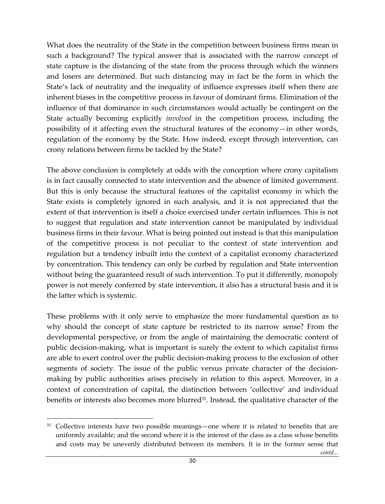What does the neutrality of the State in the competition between business firms mean in such a background? The typical answer that is associated with the narrow concept of state capture is the distancing of the state from the process through which the winners and losers are determined. But such distancing may in fact be the form in which the State's lack of neutrality and the inequality of influence expresses itself when there are inherent biases in the competitive process in favour of dominant firms. Elimination of the influence of that dominance in such circumstances would actually be contingent on the State actually becoming explicitly *involved* in the competition process, including the possibility of it affecting even the structural features of the economy—in other words, regulation of the economy by the State. How indeed, except through intervention, can crony relations between firms be tackled by the State?

The above conclusion is completely at odds with the conception where crony capitalism is in fact causally connected to state intervention and the absence of limited government. But this is only because the structural features of the capitalist economy in which the State exists is completely ignored in such analysis, and it is not appreciated that the extent of that intervention is itself a choice exercised under certain influences. This is not to suggest that regulation and state intervention cannot be manipulated by individual business firms in their favour. What is being pointed out instead is that this manipulation of the competitive process is not peculiar to the context of state intervention and regulation but a tendency inbuilt into the context of a capitalist economy characterized by concentration. This tendency can only be curbed by regulation and State intervention without being the guaranteed result of such intervention. To put it differently, monopoly power is not merely conferred by state intervention, it also has a structural basis and it is the latter which is systemic.

These problems with it only serve to emphasize the more fundamental question as to why should the concept of state capture be restricted to its narrow sense? From the developmental perspective, or from the angle of maintaining the democratic content of public decision‐making, what is important is surely the extent to which capitalist firms are able to exert control over the public decision‐making process to the exclusion of other segments of society. The issue of the public versus private character of the decisionmaking by public authorities arises precisely in relation to this aspect. Moreover, in a context of concentration of capital, the distinction between 'collective' and individual benefits or interests also becomes more blurred<sup>35</sup>. Instead, the qualitative character of the

<sup>&</sup>lt;sup>35</sup> Collective interests have two possible meanings—one where it is related to benefits that are uniformly available; and the second where it is the interest of the class as a class whose benefits and costs may be unevenly distributed between its members. It is in the former sense that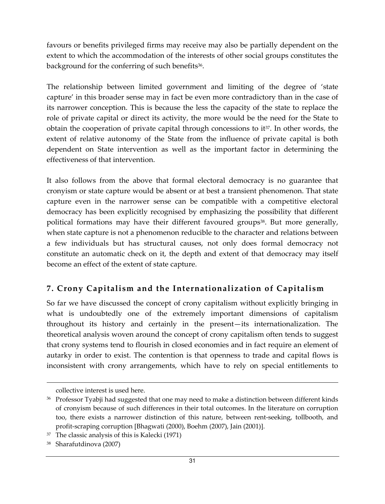favours or benefits privileged firms may receive may also be partially dependent on the extent to which the accommodation of the interests of other social groups constitutes the background for the conferring of such benefits<sup>36</sup>.

The relationship between limited government and limiting of the degree of 'state capture' in this broader sense may in fact be even more contradictory than in the case of its narrower conception. This is because the less the capacity of the state to replace the role of private capital or direct its activity, the more would be the need for the State to obtain the cooperation of private capital through concessions to it<sup>37</sup>. In other words, the extent of relative autonomy of the State from the influence of private capital is both dependent on State intervention as well as the important factor in determining the effectiveness of that intervention.

It also follows from the above that formal electoral democracy is no guarantee that cronyism or state capture would be absent or at best a transient phenomenon. That state capture even in the narrower sense can be compatible with a competitive electoral democracy has been explicitly recognised by emphasizing the possibility that different political formations may have their different favoured groups<sup>38</sup>. But more generally, when state capture is not a phenomenon reducible to the character and relations between a few individuals but has structural causes, not only does formal democracy not constitute an automatic check on it, the depth and extent of that democracy may itself become an effect of the extent of state capture.

# **7. Crony Capitalism and the Internationalization of Capitalism**

So far we have discussed the concept of crony capitalism without explicitly bringing in what is undoubtedly one of the extremely important dimensions of capitalism throughout its history and certainly in the present—its internationalization. The theoretical analysis woven around the concept of crony capitalism often tends to suggest that crony systems tend to flourish in closed economies and in fact require an element of autarky in order to exist. The contention is that openness to trade and capital flows is inconsistent with crony arrangements, which have to rely on special entitlements to

collective interest is used here.

<sup>&</sup>lt;sup>36</sup> Professor Tyabji had suggested that one may need to make a distinction between different kinds of cronyism because of such differences in their total outcomes. In the literature on corruption too, there exists a narrower distinction of this nature, between rent‐seeking, tollbooth, and profit‐scraping corruption [Bhagwati (2000), Boehm (2007), Jain (2001)].

<sup>37</sup> The classic analysis of this is Kalecki (1971)

<sup>38</sup> Sharafutdinova (2007)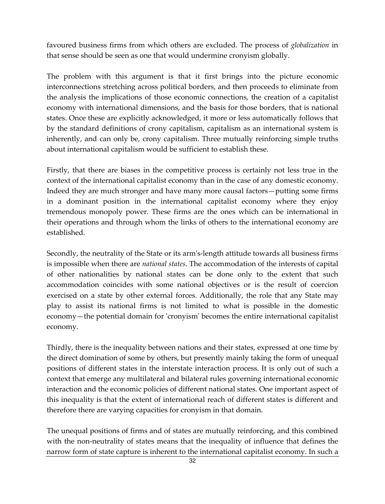favoured business firms from which others are excluded. The process of *globalization* in that sense should be seen as one that would undermine cronyism globally.

The problem with this argument is that it first brings into the picture economic interconnections stretching across political borders, and then proceeds to eliminate from the analysis the implications of those economic connections, the creation of a capitalist economy with international dimensions, and the basis for those borders, that is national states. Once these are explicitly acknowledged, it more or less automatically follows that by the standard definitions of crony capitalism, capitalism as an international system is inherently, and can only be, crony capitalism. Three mutually reinforcing simple truths about international capitalism would be sufficient to establish these.

Firstly, that there are biases in the competitive process is certainly not less true in the context of the international capitalist economy than in the case of any domestic economy. Indeed they are much stronger and have many more causal factors—putting some firms in a dominant position in the international capitalist economy where they enjoy tremendous monopoly power. These firms are the ones which can be international in their operations and through whom the links of others to the international economy are established.

Secondly, the neutrality of the State or its armʹs‐length attitude towards all business firms is impossible when there are *national states*. The accommodation of the interests of capital of other nationalities by national states can be done only to the extent that such accommodation coincides with some national objectives or is the result of coercion exercised on a state by other external forces. Additionally, the role that any State may play to assist its national firms is not limited to what is possible in the domestic economy—the potential domain for 'cronyism' becomes the entire international capitalist economy.

Thirdly, there is the inequality between nations and their states, expressed at one time by the direct domination of some by others, but presently mainly taking the form of unequal positions of different states in the interstate interaction process. It is only out of such a context that emerge any multilateral and bilateral rules governing international economic interaction and the economic policies of different national states. One important aspect of this inequality is that the extent of international reach of different states is different and therefore there are varying capacities for cronyism in that domain.

The unequal positions of firms and of states are mutually reinforcing, and this combined with the non-neutrality of states means that the inequality of influence that defines the narrow form of state capture is inherent to the international capitalist economy. In such a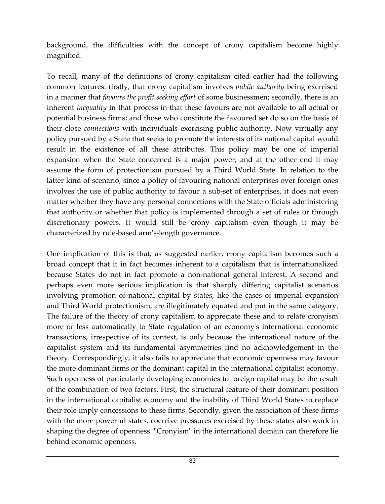background, the difficulties with the concept of crony capitalism become highly magnified.

To recall, many of the definitions of crony capitalism cited earlier had the following common features: firstly, that crony capitalism involves *public authority* being exercised in a manner that *favours the profit seeking effort* of some businessmen; secondly, there is an inherent *inequality* in that process in that these favours are not available to all actual or potential business firms; and those who constitute the favoured set do so on the basis of their close *connections* with individuals exercising public authority. Now virtually any policy pursued by a State that seeks to promote the interests of its national capital would result in the existence of all these attributes. This policy may be one of imperial expansion when the State concerned is a major power, and at the other end it may assume the form of protectionism pursued by a Third World State. In relation to the latter kind of scenario, since a policy of favouring national enterprises over foreign ones involves the use of public authority to favour a sub‐set of enterprises, it does not even matter whether they have any personal connections with the State officials administering that authority or whether that policy is implemented through a set of rules or through discretionary powers. It would still be crony capitalism even though it may be characterized by rule‐based armʹs‐length governance.

One implication of this is that, as suggested earlier, crony capitalism becomes such a broad concept that it in fact becomes inherent to a capitalism that is internationalized because States do not in fact promote a non‐national general interest. A second and perhaps even more serious implication is that sharply differing capitalist scenarios involving promotion of national capital by states, like the cases of imperial expansion and Third World protectionism, are illegitimately equated and put in the same category. The failure of the theory of crony capitalism to appreciate these and to relate cronyism more or less automatically to State regulation of an economyʹs international economic transactions, irrespective of its context, is only because the international nature of the capitalist system and its fundamental asymmetries find no acknowledgement in the theory. Correspondingly, it also fails to appreciate that economic openness may favour the more dominant firms or the dominant capital in the international capitalist economy. Such openness of particularly developing economies to foreign capital may be the result of the combination of two factors. First, the structural feature of their dominant position in the international capitalist economy and the inability of Third World States to replace their role imply concessions to these firms. Secondly, given the association of these firms with the more powerful states, coercive pressures exercised by these states also work in shaping the degree of openness. "Cronyism" in the international domain can therefore lie behind economic openness.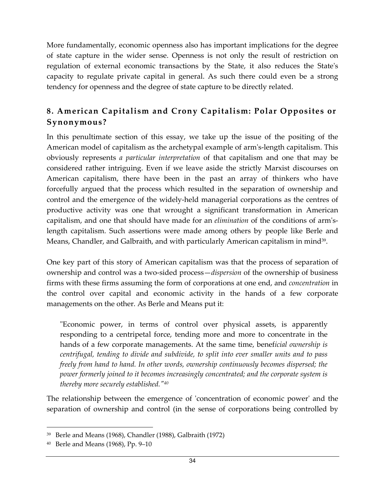More fundamentally, economic openness also has important implications for the degree of state capture in the wider sense. Openness is not only the result of restriction on regulation of external economic transactions by the State, it also reduces the Stateʹs capacity to regulate private capital in general. As such there could even be a strong tendency for openness and the degree of state capture to be directly related.

# **8. American Capitalism and Crony Capitalism: Polar Opposites or Synonymous?**

In this penultimate section of this essay, we take up the issue of the positing of the American model of capitalism as the archetypal example of armʹs‐length capitalism. This obviously represents *a particular interpretation* of that capitalism and one that may be considered rather intriguing. Even if we leave aside the strictly Marxist discourses on American capitalism, there have been in the past an array of thinkers who have forcefully argued that the process which resulted in the separation of ownership and control and the emergence of the widely‐held managerial corporations as the centres of productive activity was one that wrought a significant transformation in American capitalism, and one that should have made for an *elimination* of the conditions of arm'slength capitalism. Such assertions were made among others by people like Berle and Means, Chandler, and Galbraith, and with particularly American capitalism in mind $^{39}$ .

One key part of this story of American capitalism was that the process of separation of ownership and control was a two‐sided process—*dispersion* of the ownership of business firms with these firms assuming the form of corporations at one end, and *concentration* in the control over capital and economic activity in the hands of a few corporate managements on the other. As Berle and Means put it:

ʺEconomic power, in terms of control over physical assets, is apparently responding to a centripetal force, tending more and more to concentrate in the hands of a few corporate managements. At the same time, benef*icial ownership is centrifugal, tending to divide and subdivide, to split into ever smaller units and to pass freely from hand to hand. In other words, ownership continuously becomes dispersed; the power formerly joined to it becomes increasingly concentrated; and the corporate system is thereby more securely established.ʺ 40*

The relationship between the emergence of 'concentration of economic power' and the separation of ownership and control (in the sense of corporations being controlled by

<sup>39</sup> Berle and Means (1968), Chandler (1988), Galbraith (1972)

<sup>40</sup> Berle and Means (1968), Pp. 9–10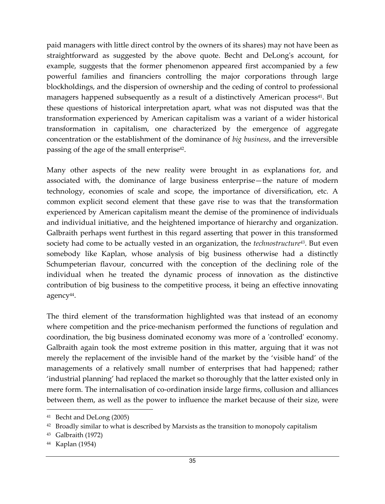paid managers with little direct control by the owners of its shares) may not have been as straightforward as suggested by the above quote. Becht and DeLongʹs account, for example, suggests that the former phenomenon appeared first accompanied by a few powerful families and financiers controlling the major corporations through large blockholdings, and the dispersion of ownership and the ceding of control to professional managers happened subsequently as a result of a distinctively American process<sup>41</sup>. But these questions of historical interpretation apart, what was not disputed was that the transformation experienced by American capitalism was a variant of a wider historical transformation in capitalism, one characterized by the emergence of aggregate concentration or the establishment of the dominance of *big business*, and the irreversible passing of the age of the small enterprise<sup>42</sup>.

Many other aspects of the new reality were brought in as explanations for, and associated with, the dominance of large business enterprise—the nature of modern technology, economies of scale and scope, the importance of diversification, etc. A common explicit second element that these gave rise to was that the transformation experienced by American capitalism meant the demise of the prominence of individuals and individual initiative, and the heightened importance of hierarchy and organization. Galbraith perhaps went furthest in this regard asserting that power in this transformed society had come to be actually vested in an organization, the *technostructure<sup>43</sup>* . But even somebody like Kaplan, whose analysis of big business otherwise had a distinctly Schumpeterian flavour, concurred with the conception of the declining role of the individual when he treated the dynamic process of innovation as the distinctive contribution of big business to the competitive process, it being an effective innovating agency<sup>44</sup> .

The third element of the transformation highlighted was that instead of an economy where competition and the price-mechanism performed the functions of regulation and coordination, the big business dominated economy was more of a ʹcontrolledʹ economy. Galbraith again took the most extreme position in this matter, arguing that it was not merely the replacement of the invisible hand of the market by the 'visible hand' of the managements of a relatively small number of enterprises that had happened; rather 'industrial planning' had replaced the market so thoroughly that the latter existed only in mere form. The internalisation of co-ordination inside large firms, collusion and alliances between them, as well as the power to influence the market because of their size, were

<sup>41</sup> Becht and DeLong (2005)

 $42$  Broadly similar to what is described by Marxists as the transition to monopoly capitalism

<sup>43</sup> Galbraith (1972)

<sup>44</sup> Kaplan (1954)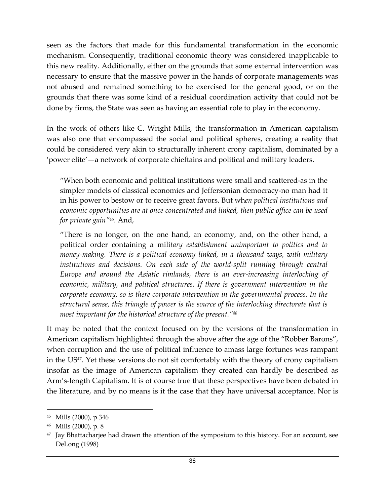seen as the factors that made for this fundamental transformation in the economic mechanism. Consequently, traditional economic theory was considered inapplicable to this new reality. Additionally, either on the grounds that some external intervention was necessary to ensure that the massive power in the hands of corporate managements was not abused and remained something to be exercised for the general good, or on the grounds that there was some kind of a residual coordination activity that could not be done by firms, the State was seen as having an essential role to play in the economy.

In the work of others like C. Wright Mills, the transformation in American capitalism was also one that encompassed the social and political spheres, creating a reality that could be considered very akin to structurally inherent crony capitalism, dominated by a 'power elite'—a network of corporate chieftains and political and military leaders.

"When both economic and political institutions were small and scattered‐as in the simpler models of classical economics and Jeffersonian democracy-no man had it in his power to bestow or to receive great favors. But wh*en political institutions and economic opportunities are at once concentrated and linked, then public office can be used for private gain"<sup>45</sup>* . And,

"There is no longer, on the one hand, an economy, and, on the other hand, a political order containing a mili*tary establishment unimportant to politics and to money‐making. There is a political economy linked, in a thousand ways, with military institutions and decisions. On each side of the world‐split running through central Europe and around the Asiatic rimlands, there is an ever‐increasing interlocking of economic, military, and political structures. If there is government intervention in the corporate economy, so is there corporate intervention in the governmental process. In the structural sense, this triangle of power is the source of the interlocking directorate that is most important for the historical structure of the present."<sup>46</sup>*

It may be noted that the context focused on by the versions of the transformation in American capitalism highlighted through the above after the age of the "Robber Barons", when corruption and the use of political influence to amass large fortunes was rampant in the US<sup>47</sup> . Yet these versions do not sit comfortably with the theory of crony capitalism insofar as the image of American capitalism they created can hardly be described as Arm's‐length Capitalism. It is of course true that these perspectives have been debated in the literature, and by no means is it the case that they have universal acceptance. Nor is

<sup>45</sup> Mills (2000), p.346

<sup>46</sup> Mills (2000), p. 8

 $47$  Jay Bhattacharjee had drawn the attention of the symposium to this history. For an account, see DeLong (1998)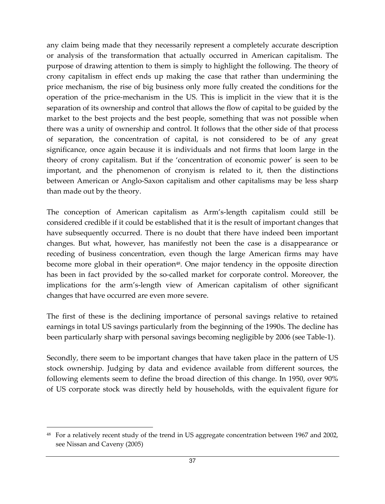any claim being made that they necessarily represent a completely accurate description or analysis of the transformation that actually occurred in American capitalism. The purpose of drawing attention to them is simply to highlight the following. The theory of crony capitalism in effect ends up making the case that rather than undermining the price mechanism, the rise of big business only more fully created the conditions for the operation of the price‐mechanism in the US. This is implicit in the view that it is the separation of its ownership and control that allows the flow of capital to be guided by the market to the best projects and the best people, something that was not possible when there was a unity of ownership and control. It follows that the other side of that process of separation, the concentration of capital, is not considered to be of any great significance, once again because it is individuals and not firms that loom large in the theory of crony capitalism. But if the 'concentration of economic power' is seen to be important, and the phenomenon of cronyism is related to it, then the distinctions between American or Anglo‐Saxon capitalism and other capitalisms may be less sharp than made out by the theory.

The conception of American capitalism as Arm's‐length capitalism could still be considered credible if it could be established that it is the result of important changes that have subsequently occurred. There is no doubt that there have indeed been important changes. But what, however, has manifestly not been the case is a disappearance or receding of business concentration, even though the large American firms may have become more global in their operation<sup>48</sup>. One major tendency in the opposite direction has been in fact provided by the so-called market for corporate control. Moreover, the implications for the arm's‐length view of American capitalism of other significant changes that have occurred are even more severe.

The first of these is the declining importance of personal savings relative to retained earnings in total US savings particularly from the beginning of the 1990s. The decline has been particularly sharp with personal savings becoming negligible by 2006 (see Table‐1).

Secondly, there seem to be important changes that have taken place in the pattern of US stock ownership. Judging by data and evidence available from different sources, the following elements seem to define the broad direction of this change. In 1950, over 90% of US corporate stock was directly held by households, with the equivalent figure for

<sup>&</sup>lt;sup>48</sup> For a relatively recent study of the trend in US aggregate concentration between 1967 and 2002, see Nissan and Caveny (2005)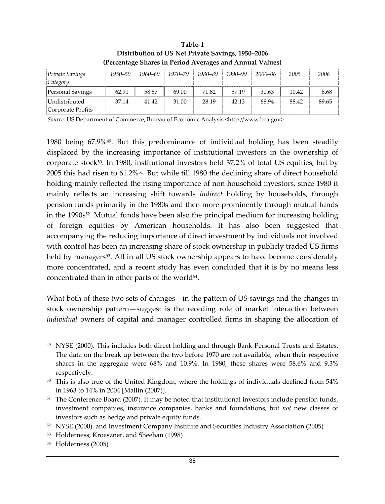| <i>Private Savings</i> | 1950–59 | 1960–69 | 1970–79 | 1980–89 | 1990–99 | $2000 - 06$ | 2005  | 2006  |
|------------------------|---------|---------|---------|---------|---------|-------------|-------|-------|
| Category               |         |         |         |         |         |             |       |       |
| Personal Savings       | 62.91   | 58.57   | 69.00   | 71.82   | 57.19   | 30.63       | 10.42 | 8.68  |
| <i>Undistributed</i>   | 37.14   | 41.42   | 31.00   | 28.19   | 42.13   | 68.94       | 88.42 | 89.65 |
| Corporate Profits      |         |         |         |         |         |             |       |       |

**Table‐1 Distribution of US Net Private Savings, 1950–2006 (Percentage Shares in Period Averages and Annual Values)**

*Source*: US Department of Commerce, Bureau of Economic Analysis <http://www.bea.gov>

1980 being 67.9%<sup>49</sup> . But this predominance of individual holding has been steadily displaced by the increasing importance of institutional investors in the ownership of corporate stock<sup>50</sup>. In 1980, institutional investors held 37.2% of total US equities, but by 2005 this had risen to 61.2%<sup>51</sup> . But while till 1980 the declining share of direct household holding mainly reflected the rising importance of non-household investors, since 1980 it mainly reflects an increasing shift towards *indirect* holding by households, through pension funds primarily in the 1980s and then more prominently through mutual funds in the 1990s<sup>52</sup>. Mutual funds have been also the principal medium for increasing holding of foreign equities by American households. It has also been suggested that accompanying the reducing importance of direct investment by individuals not involved with control has been an increasing share of stock ownership in publicly traded US firms held by managers<sup>53</sup> . All in all US stock ownership appears to have become considerably more concentrated, and a recent study has even concluded that it is by no means less concentrated than in other parts of the world<sup>54</sup>.

What both of these two sets of changes—in the pattern of US savings and the changes in stock ownership pattern—suggest is the receding role of market interaction between *individual* owners of capital and manager controlled firms in shaping the allocation of

<sup>49</sup> NYSE (2000). This includes both direct holding and through Bank Personal Trusts and Estates. The data on the break up between the two before 1970 are not available, when their respective shares in the aggregate were 68% and 10.9%. In 1980, these shares were 58.6% and 9.3% respectively.

 $50$  This is also true of the United Kingdom, where the holdings of individuals declined from 54% in 1963 to 14% in 2004 [Mallin (2007)].

<sup>&</sup>lt;sup>51</sup> The Conference Board (2007). It may be noted that institutional investors include pension funds, investment companies, insurance companies, banks and foundations, but *not* new classes of investors such as hedge and private equity funds.

<sup>&</sup>lt;sup>52</sup> NYSE (2000), and Investment Company Institute and Securities Industry Association (2005)

<sup>53</sup> Holderness, Kroeszner, and Sheehan (1998)

<sup>54</sup> Holderness (2005)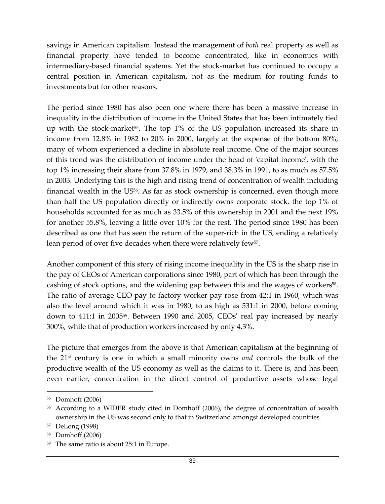savings in American capitalism. Instead the management of *both* real property as well as financial property have tended to become concentrated, like in economies with intermediary‐based financial systems. Yet the stock‐market has continued to occupy a central position in American capitalism, not as the medium for routing funds to investments but for other reasons.

The period since 1980 has also been one where there has been a massive increase in inequality in the distribution of income in the United States that has been intimately tied up with the stock-market<sup>55</sup>. The top 1% of the US population increased its share in income from 12.8% in 1982 to 20% in 2000, largely at the expense of the bottom 80%, many of whom experienced a decline in absolute real income. One of the major sources of this trend was the distribution of income under the head of ʹcapital incomeʹ, with the top 1% increasing their share from 37.8% in 1979, and 38.3% in 1991, to as much as 57.5% in 2003. Underlying this is the high and rising trend of concentration of wealth including financial wealth in the US<sup>56</sup> . As far as stock ownership is concerned, even though more than half the US population directly or indirectly owns corporate stock, the top 1% of households accounted for as much as 33.5% of this ownership in 2001 and the next 19% for another 55.8%, leaving a little over 10% for the rest. The period since 1980 has been described as one that has seen the return of the super‐rich in the US, ending a relatively lean period of over five decades when there were relatively few<sup>57</sup>.

Another component of this story of rising income inequality in the US is the sharp rise in the pay of CEOs of American corporations since 1980, part of which has been through the cashing of stock options, and the widening gap between this and the wages of workers<sup>58</sup>. The ratio of average CEO pay to factory worker pay rose from 42:1 in 1960, which was also the level around which it was in 1980, to as high as 531:1 in 2000, before coming down to 411:1 in 2005<sup>59</sup> . Between 1990 and 2005, CEOsʹ real pay increased by nearly 300%, while that of production workers increased by only 4.3%.

The picture that emerges from the above is that American capitalism at the beginning of the 21st century is one in which a small minority owns *and* controls the bulk of the productive wealth of the US economy as well as the claims to it. There is, and has been even earlier, concentration in the direct control of productive assets whose legal

<sup>55</sup> Domhoff (2006)

<sup>56</sup> According to a WIDER study cited in Domhoff (2006), the degree of concentration of wealth ownership in the US was second only to that in Switzerland amongst developed countries.

<sup>57</sup> DeLong (1998)

<sup>58</sup> Domhoff (2006)

<sup>59</sup> The same ratio is about 25:1 in Europe.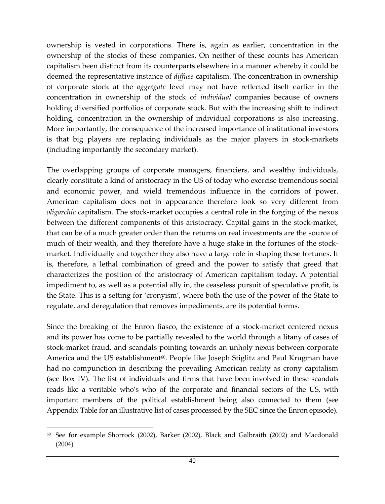ownership is vested in corporations. There is, again as earlier, concentration in the ownership of the stocks of these companies. On neither of these counts has American capitalism been distinct from its counterparts elsewhere in a manner whereby it could be deemed the representative instance of *diffuse* capitalism. The concentration in ownership of corporate stock at the *aggregate* level may not have reflected itself earlier in the concentration in ownership of the stock of *individual* companies because of owners holding diversified portfolios of corporate stock. But with the increasing shift to indirect holding, concentration in the ownership of individual corporations is also increasing. More importantly, the consequence of the increased importance of institutional investors is that big players are replacing individuals as the major players in stock-markets (including importantly the secondary market).

The overlapping groups of corporate managers, financiers, and wealthy individuals, clearly constitute a kind of aristocracy in the US of today who exercise tremendous social and economic power, and wield tremendous influence in the corridors of power. American capitalism does not in appearance therefore look so very different from *oligarchic* capitalism. The stock-market occupies a central role in the forging of the nexus between the different components of this aristocracy. Capital gains in the stock-market, that can be of a much greater order than the returns on real investments are the source of much of their wealth, and they therefore have a huge stake in the fortunes of the stockmarket. Individually and together they also have a large role in shaping these fortunes. It is, therefore, a lethal combination of greed and the power to satisfy that greed that characterizes the position of the aristocracy of American capitalism today. A potential impediment to, as well as a potential ally in, the ceaseless pursuit of speculative profit, is the State. This is a setting for 'cronyism', where both the use of the power of the State to regulate, and deregulation that removes impediments, are its potential forms.

Since the breaking of the Enron fiasco, the existence of a stock‐market centered nexus and its power has come to be partially revealed to the world through a litany of cases of stock‐market fraud, and scandals pointing towards an unholy nexus between corporate America and the US establishment60. People like Joseph Stiglitz and Paul Krugman have had no compunction in describing the prevailing American reality as crony capitalism (see Box IV). The list of individuals and firms that have been involved in these scandals reads like a veritable who's who of the corporate and financial sectors of the US, with important members of the political establishment being also connected to them (see Appendix Table for an illustrative list of cases processed by the SEC since the Enron episode).

<sup>60</sup> See for example Shorrock (2002), Barker (2002), Black and Galbraith (2002) and Macdonald (2004)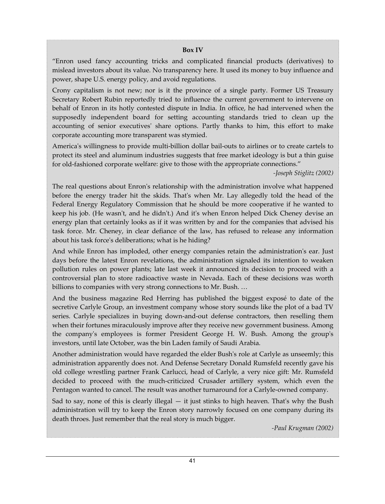#### **Box IV**

"Enron used fancy accounting tricks and complicated financial products (derivatives) to mislead investors about its value. No transparency here. It used its money to buy influence and power, shape U.S. energy policy, and avoid regulations.

Crony capitalism is not new; nor is it the province of a single party. Former US Treasury Secretary Robert Rubin reportedly tried to influence the current government to intervene on behalf of Enron in its hotly contested dispute in India. In office, he had intervened when the supposedly independent board for setting accounting standards tried to clean up the accounting of senior executivesʹ share options. Partly thanks to him, this effort to make corporate accounting more transparent was stymied.

Americaʹs willingness to provide multi‐billion dollar bail‐outs to airlines or to create cartels to protect its steel and aluminum industries suggests that free market ideology is but a thin guise for old-fashioned corporate welfare: give to those with the appropriate connections."

*‐Joseph Stiglitz (2002)*

The real questions about Enron's relationship with the administration involve what happened before the energy trader hit the skids. That's when Mr. Lay allegedly told the head of the Federal Energy Regulatory Commission that he should be more cooperative if he wanted to keep his job. (He wasnʹt, and he didnʹt.) And itʹs when Enron helped Dick Cheney devise an energy plan that certainly looks as if it was written by and for the companies that advised his task force. Mr. Cheney, in clear defiance of the law, has refused to release any information about his task forceʹs deliberations; what is he hiding?

And while Enron has imploded, other energy companies retain the administration's ear. Just days before the latest Enron revelations, the administration signaled its intention to weaken pollution rules on power plants; late last week it announced its decision to proceed with a controversial plan to store radioactive waste in Nevada. Each of these decisions was worth billions to companies with very strong connections to Mr. Bush. …

And the business magazine Red Herring has published the biggest exposé to date of the secretive Carlyle Group, an investment company whose story sounds like the plot of a bad TV series. Carlyle specializes in buying down-and-out defense contractors, then reselling them when their fortunes miraculously improve after they receive new government business. Among the companyʹs employees is former President George H. W. Bush. Among the groupʹs investors, until late October, was the bin Laden family of Saudi Arabia.

Another administration would have regarded the elder Bushʹs role at Carlyle as unseemly; this administration apparently does not. And Defense Secretary Donald Rumsfeld recently gave his old college wrestling partner Frank Carlucci, head of Carlyle, a very nice gift: Mr. Rumsfeld decided to proceed with the much‐criticized Crusader artillery system, which even the Pentagon wanted to cancel. The result was another turnaround for a Carlyle-owned company.

Sad to say, none of this is clearly illegal  $-$  it just stinks to high heaven. That's why the Bush administration will try to keep the Enron story narrowly focused on one company during its death throes. Just remember that the real story is much bigger.

*‐Paul Krugman (2002)*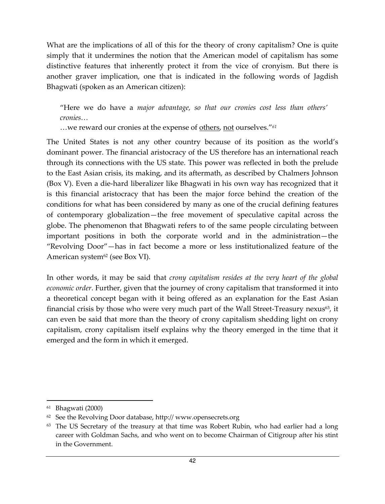What are the implications of all of this for the theory of crony capitalism? One is quite simply that it undermines the notion that the American model of capitalism has some distinctive features that inherently protect it from the vice of cronyism. But there is another graver implication, one that is indicated in the following words of Jagdish Bhagwati (spoken as an American citizen):

"Here we do have a *major advantage, so that our cronies cost less than others' cronies…*

…we reward our cronies at the expense of others, not ourselves."*<sup>61</sup>*

The United States is not any other country because of its position as the world's dominant power. The financial aristocracy of the US therefore has an international reach through its connections with the US state. This power was reflected in both the prelude to the East Asian crisis, its making, and its aftermath, as described by Chalmers Johnson (Box V). Even a die‐hard liberalizer like Bhagwati in his own way has recognized that it is this financial aristocracy that has been the major force behind the creation of the conditions for what has been considered by many as one of the crucial defining features of contemporary globalization—the free movement of speculative capital across the globe. The phenomenon that Bhagwati refers to of the same people circulating between important positions in both the corporate world and in the administration—the "Revolving Door"—has in fact become a more or less institutionalized feature of the American system<sup>62</sup> (see Box VI).

In other words, it may be said that *crony capitalism resides at the very heart of the global economic order*. Further, given that the journey of crony capitalism that transformed it into a theoretical concept began with it being offered as an explanation for the East Asian financial crisis by those who were very much part of the Wall Street-Treasury nexus<sup>63</sup>, it can even be said that more than the theory of crony capitalism shedding light on crony capitalism, crony capitalism itself explains why the theory emerged in the time that it emerged and the form in which it emerged.

<sup>61</sup> Bhagwati (2000)

<sup>62</sup> See the Revolving Door database, http:// www.opensecrets.org

<sup>&</sup>lt;sup>63</sup> The US Secretary of the treasury at that time was Robert Rubin, who had earlier had a long career with Goldman Sachs, and who went on to become Chairman of Citigroup after his stint in the Government.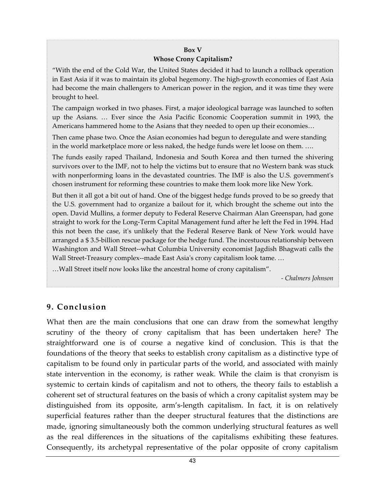#### **Box V Whose Crony Capitalism?**

"With the end of the Cold War, the United States decided it had to launch a rollback operation in East Asia if it was to maintain its global hegemony. The high‐growth economies of East Asia had become the main challengers to American power in the region, and it was time they were brought to heel.

The campaign worked in two phases. First, a major ideological barrage was launched to soften up the Asians. … Ever since the Asia Pacific Economic Cooperation summit in 1993, the Americans hammered home to the Asians that they needed to open up their economies…

Then came phase two. Once the Asian economies had begun to deregulate and were standing in the world marketplace more or less naked, the hedge funds were let loose on them. ….

The funds easily raped Thailand, Indonesia and South Korea and then turned the shivering survivors over to the IMF, not to help the victims but to ensure that no Western bank was stuck with nonperforming loans in the devastated countries. The IMF is also the U.S. government's chosen instrument for reforming these countries to make them look more like New York.

But then it all got a bit out of hand. One of the biggest hedge funds proved to be so greedy that the U.S. government had to organize a bailout for it, which brought the scheme out into the open. David Mullins, a former deputy to Federal Reserve Chairman Alan Greenspan, had gone straight to work for the Long‐Term Capital Management fund after he left the Fed in 1994. Had this not been the case, itʹs unlikely that the Federal Reserve Bank of New York would have arranged a \$ 3.5‐billion rescue package for the hedge fund. The incestuous relationship between Washington and Wall Street‐‐what Columbia University economist Jagdish Bhagwati calls the Wall Street-Treasury complex--made East Asia's crony capitalism look tame. ...

…Wall Street itself now looks like the ancestral home of crony capitalism".

*‐ Chalmers Johnson*

## **9. Conclusion**

What then are the main conclusions that one can draw from the somewhat lengthy scrutiny of the theory of crony capitalism that has been undertaken here? The straightforward one is of course a negative kind of conclusion. This is that the foundations of the theory that seeks to establish crony capitalism as a distinctive type of capitalism to be found only in particular parts of the world, and associated with mainly state intervention in the economy, is rather weak. While the claim is that cronyism is systemic to certain kinds of capitalism and not to others, the theory fails to establish a coherent set of structural features on the basis of which a crony capitalist system may be distinguished from its opposite, arm's‐length capitalism. In fact, it is on relatively superficial features rather than the deeper structural features that the distinctions are made, ignoring simultaneously both the common underlying structural features as well as the real differences in the situations of the capitalisms exhibiting these features. Consequently, its archetypal representative of the polar opposite of crony capitalism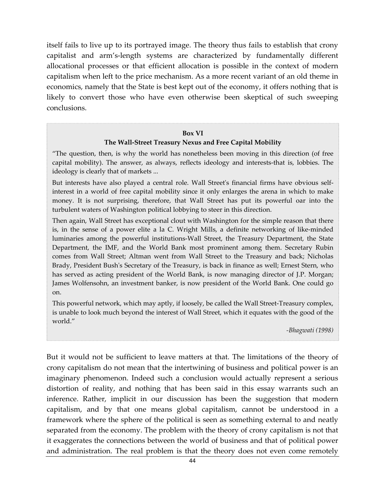itself fails to live up to its portrayed image. The theory thus fails to establish that crony capitalist and arm's‐length systems are characterized by fundamentally different allocational processes or that efficient allocation is possible in the context of modern capitalism when left to the price mechanism. As a more recent variant of an old theme in economics, namely that the State is best kept out of the economy, it offers nothing that is likely to convert those who have even otherwise been skeptical of such sweeping conclusions.

#### **Box VI**

#### **The Wall‐Street Treasury Nexus and Free Capital Mobility**

"The question, then, is why the world has nonetheless been moving in this direction (of free capital mobility). The answer, as always, reflects ideology and interests‐that is, lobbies. The ideology is clearly that of markets ...

But interests have also played a central role. Wall Street's financial firms have obvious selfinterest in a world of free capital mobility since it only enlarges the arena in which to make money. It is not surprising, therefore, that Wall Street has put its powerful oar into the turbulent waters of Washington political lobbying to steer in this direction.

Then again, Wall Street has exceptional clout with Washington for the simple reason that there is, in the sense of a power elite a la C. Wright Mills, a definite networking of like‐minded luminaries among the powerful institutions‐Wall Street, the Treasury Department, the State Department, the IMF, and the World Bank most prominent among them. Secretary Rubin comes from Wall Street; Altman went from Wall Street to the Treasury and back; Nicholas Brady, President Bush's Secretary of the Treasury, is back in finance as well; Ernest Stern, who has served as acting president of the World Bank, is now managing director of J.P. Morgan; James Wolfensohn, an investment banker, is now president of the World Bank. One could go on.

This powerful network, which may aptly, if loosely, be called the Wall Street‐Treasury complex, is unable to look much beyond the interest of Wall Street, which it equates with the good of the world."

*‐Bhagwati (1998)*

But it would not be sufficient to leave matters at that. The limitations of the theory of crony capitalism do not mean that the intertwining of business and political power is an imaginary phenomenon. Indeed such a conclusion would actually represent a serious distortion of reality, and nothing that has been said in this essay warrants such an inference. Rather, implicit in our discussion has been the suggestion that modern capitalism, and by that one means global capitalism, cannot be understood in a framework where the sphere of the political is seen as something external to and neatly separated from the economy. The problem with the theory of crony capitalism is not that it exaggerates the connections between the world of business and that of political power and administration. The real problem is that the theory does not even come remotely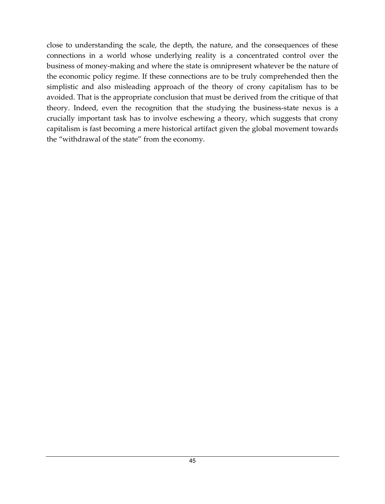close to understanding the scale, the depth, the nature, and the consequences of these connections in a world whose underlying reality is a concentrated control over the business of money‐making and where the state is omnipresent whatever be the nature of the economic policy regime. If these connections are to be truly comprehended then the simplistic and also misleading approach of the theory of crony capitalism has to be avoided. That is the appropriate conclusion that must be derived from the critique of that theory. Indeed, even the recognition that the studying the business-state nexus is a crucially important task has to involve eschewing a theory, which suggests that crony capitalism is fast becoming a mere historical artifact given the global movement towards the "withdrawal of the state" from the economy.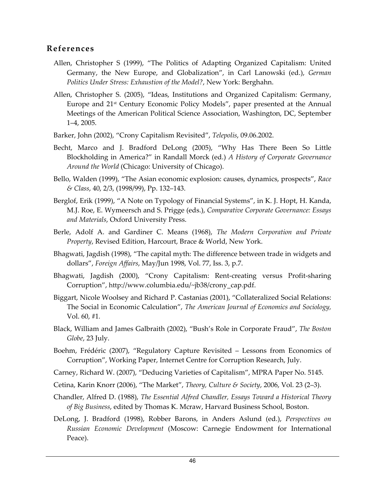#### **References**

- Allen, Christopher S (1999), "The Politics of Adapting Organized Capitalism: United Germany, the New Europe, and Globalization", in Carl Lanowski (ed.), *German Politics Under Stress: Exhaustion of the Model?*, New York: Berghahn.
- Allen, Christopher S. (2005), "Ideas, Institutions and Organized Capitalism: Germany, Europe and 21st Century Economic Policy Models", paper presented at the Annual Meetings of the American Political Science Association, Washington, DC, September 1–4, 2005.
- Barker, John (2002), "Crony Capitalism Revisited", *Telepolis*, 09.06.2002.
- Becht, Marco and J. Bradford DeLong (2005), "Why Has There Been So Little Blockholding in America?" in Randall Morck (ed.) *A History of Corporate Governance Around the World* (Chicago: University of Chicago).
- Bello, Walden (1999), "The Asian economic explosion: causes, dynamics, prospects", *Race & Class*, 40, 2/3, (1998/99), Pp. 132–143.
- Berglof, Erik (1999), "A Note on Typology of Financial Systems", in K. J. Hopt, H. Kanda, M.J. Roe, E. Wymeersch and S. Prigge (eds.), *Comparative Corporate Governance: Essays and Materials*, Oxford University Press.
- Berle, Adolf A. and Gardiner C. Means (1968), *The Modern Corporation and Private Property*, Revised Edition, Harcourt, Brace & World, New York.
- Bhagwati, Jagdish (1998), "The capital myth: The difference between trade in widgets and dollars", *Foreign Affairs*, May/Jun 1998, Vol. 77, Iss. 3, p.7.
- Bhagwati, Jagdish (2000), "Crony Capitalism: Rent‐creating versus Profit‐sharing Corruption", http://www.columbia.edu/~jb38/crony\_cap.pdf.
- Biggart, Nicole Woolsey and Richard P. Castanias (2001), "Collateralized Social Relations: The Social in Economic Calculation", *The American Journal of Economics and Sociology,* Vol. 60, #1*.*
- Black, William and James Galbraith (2002), "Bush's Role in Corporate Fraud", *The Boston Globe*, 23 July.
- Boehm, Frédéric (2007), "Regulatory Capture Revisited Lessons from Economics of Corruption", Working Paper, Internet Centre for Corruption Research, July.
- Carney, Richard W. (2007), "Deducing Varieties of Capitalism", MPRA Paper No. 5145.
- Cetina, Karin Knorr (2006), "The Market", *Theory, Culture & Society*, 2006, Vol. 23 (2–3).
- Chandler, Alfred D. (1988), *The Essential Alfred Chandler, Essays Toward a Historical Theory of Big Business*, edited by Thomas K. Mcraw, Harvard Business School, Boston.
- DeLong, J. Bradford (1998), Robber Barons, in Anders Aslund (ed.), *Perspectives on Russian Economic Development* (Moscow: Carnegie Endowment for International Peace).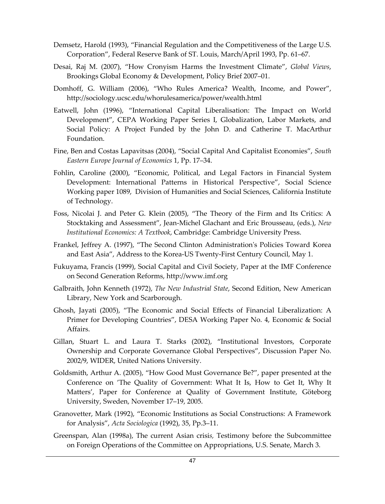- Demsetz, Harold (1993), "Financial Regulation and the Competitiveness of the Large U.S. Corporation", Federal Reserve Bank of ST. Louis, March/April 1993, Pp. 61–67.
- Desai, Raj M. (2007), "How Cronyism Harms the Investment Climate", *Global Views*, Brookings Global Economy & Development, Policy Brief 2007–01.
- Domhoff, G. William (2006), "Who Rules America? Wealth, Income, and Power", http://sociology.ucsc.edu/whorulesamerica/power/wealth.html
- Eatwell, John (1996), "International Capital Liberalisation: The Impact on World Development", CEPA Working Paper Series I, Globalization, Labor Markets, and Social Policy: A Project Funded by the John D. and Catherine T. MacArthur Foundation.
- Fine, Ben and Costas Lapavitsas (2004), "Social Capital And Capitalist Economies", *South Eastern Europe Journal of Economics* 1, Pp. 17–34.
- Fohlin, Caroline (2000), "Economic, Political, and Legal Factors in Financial System Development: International Patterns in Historical Perspective", Social Science Working paper 1089, Division of Humanities and Social Sciences, California Institute of Technology.
- Foss, Nicolai J. and Peter G. Klein (2005), "The Theory of the Firm and Its Critics: A Stocktaking and Assessment", Jean‐Michel Glachant and Eric Brousseau, (eds.), *New Institutional Economics: A Textbook*, Cambridge: Cambridge University Press.
- Frankel, Jeffrey A. (1997), "The Second Clinton Administrationʹs Policies Toward Korea and East Asia", Address to the Korea‐US Twenty‐First Century Council, May 1.
- Fukuyama, Francis (1999), Social Capital and Civil Society, Paper at the IMF Conference on Second Generation Reforms, http://www.imf.org
- Galbraith, John Kenneth (1972), *The New Industrial State*, Second Edition, New American Library, New York and Scarborough.
- Ghosh, Jayati (2005), "The Economic and Social Effects of Financial Liberalization: A Primer for Developing Countries", DESA Working Paper No. 4, Economic & Social Affairs.
- Gillan, Stuart L. and Laura T. Starks (2002), "Institutional Investors, Corporate Ownership and Corporate Governance Global Perspectives", Discussion Paper No. 2002/9, WIDER, United Nations University.
- Goldsmith, Arthur A. (2005), "How Good Must Governance Be?", paper presented at the Conference on 'The Quality of Government: What It Is, How to Get It, Why It Matters', Paper for Conference at Quality of Government Institute, Göteborg University, Sweden, November 17–19, 2005.
- Granovetter, Mark (1992), "Economic Institutions as Social Constructions: A Framework for Analysis", *Acta Sociologica* (1992), 35, Pp.3–11.
- Greenspan, Alan (1998a), The current Asian crisi*s,* Testimony before the Subcommittee on Foreign Operations of the Committee on Appropriations, U.S. Senate, March 3.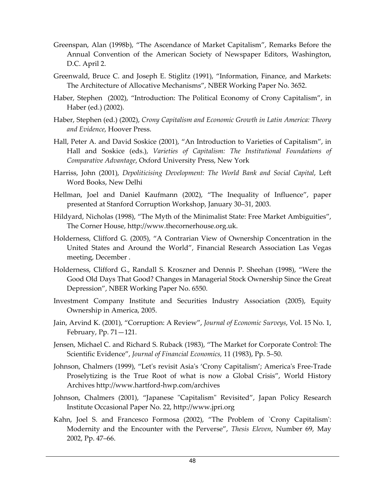- Greenspan, Alan (1998b), "The Ascendance of Market Capitalism", Remarks Before the Annual Convention of the American Society of Newspaper Editors, Washington, D.C. April 2.
- Greenwald, Bruce C. and Joseph E. Stiglitz (1991), "Information, Finance, and Markets: The Architecture of Allocative Mechanisms", NBER Working Paper No. 3652.
- Haber, Stephen (2002), "Introduction: The Political Economy of Crony Capitalism", in Haber (ed.) (2002).
- Haber, Stephen (ed.) (2002), *Crony Capitalism and Economic Growth in Latin America: Theory and Evidence*, Hoover Press.
- Hall, Peter A. and David Soskice (2001), "An Introduction to Varieties of Capitalism", in Hall and Soskice (eds.), *Varieties of Capitalism: The Institutional Foundations of Comparative Advantage*, Oxford University Press, New York
- Harriss, John (2001), *Depoliticising Development: The World Bank and Social Capital*, Left Word Books, New Delhi
- Hellman, Joel and Daniel Kaufmann (2002), "The Inequality of Influence", paper presented at Stanford Corruption Workshop, January 30–31, 2003.
- Hildyard, Nicholas (1998), "The Myth of the Minimalist State: Free Market Ambiguities", The Corner House, http://www.thecornerhouse.org.uk.
- Holderness, Clifford G. (2005), "A Contrarian View of Ownership Concentration in the United States and Around the World", Financial Research Association Las Vegas meeting, December .
- Holderness, Clifford G., Randall S. Kroszner and Dennis P. Sheehan (1998), "Were the Good Old Days That Good? Changes in Managerial Stock Ownership Since the Great Depression", NBER Working Paper No. 6550.
- Investment Company Institute and Securities Industry Association (2005), Equity Ownership in America, 2005.
- Jain, Arvind K. (2001), "Corruption: A Review", *Journal of Economic Surveys*, Vol. 15 No. 1, February, Pp. 71—121.
- Jensen, Michael C. and Richard S. Ruback (1983), "The Market for Corporate Control: The Scientific Evidence", *Journal of Financial Economics,* 11 (1983), Pp. 5–50.
- Johnson, Chalmers (1999), "Letʹs revisit Asiaʹs 'Crony Capitalism'; Americaʹs Free‐Trade Proselytizing is the True Root of what is now a Global Crisis", World History Archives http://www.hartford‐hwp.com/archives
- Johnson, Chalmers (2001), "Japanese "Capitalism" Revisited", Japan Policy Research Institute Occasional Paper No. 22, http://www.jpri.org
- Kahn, Joel S. and Francesco Formosa (2002), "The Problem of `Crony Capitalism': Modernity and the Encounter with the Perverse", *Thesis Eleven*, Number 69, May 2002, Pp. 47–66.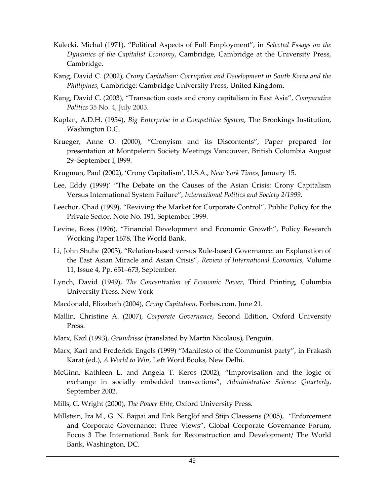- Kalecki, Michal (1971), "Political Aspects of Full Employment", in *Selected Essays on the Dynamics of the Capitalist Economy*, Cambridge, Cambridge at the University Press, Cambridge.
- Kang, David C. (2002), *Crony Capitalism: Corruption and Development in South Korea and the Phillipines*, Cambridge: Cambridge University Press, United Kingdom.
- Kang, David C. (2003), "Transaction costs and crony capitalism in East Asia", *Comparative Politics* 35 No. 4, July 2003.
- Kaplan, A.D.H. (1954), *Big Enterprise in a Competitive System*, The Brookings Institution, Washington D.C.
- Krueger, Anne O. (2000), "Cronyism and its Discontents", Paper prepared for presentation at Montpelerin Society Meetings Vancouver, British Columbia August 29–September l, l999.
- Krugman, Paul (2002), 'Crony Capitalism', U.S.A., *New York Times*, January 15.
- Lee, Eddy (1999)' "The Debate on the Causes of the Asian Crisis: Crony Capitalism Versus International System Failure", *International Politics and Society 2/1999.*
- Leechor, Chad (1999), "Reviving the Market for Corporate Control", Public Policy for the Private Sector, Note No. 191, September 1999.
- Levine, Ross (1996), "Financial Development and Economic Growth", Policy Research Working Paper 1678, The World Bank.
- Li, John Shuhe (2003), "Relation‐based versus Rule‐based Governance: an Explanation of the East Asian Miracle and Asian Crisis", *Review of International Economics,* Volume 11, Issue 4, Pp. 651–673, September.
- Lynch, David (1949), *The Concentration of Economic Power*, Third Printing, Columbia University Press, New York
- Macdonald, Elizabeth (2004), *Crony Capitalism*, Forbes.com, June 21.
- Mallin, Christine A. (2007), *Corporate Governance*, Second Edition, Oxford University Press.
- Marx, Karl (1993), *Grundrisse* (translated by Martin Nicolaus), Penguin.
- Marx, Karl and Frederick Engels (1999) "Manifesto of the Communist party", in Prakash Karat (ed.), *A World to Win*, Left Word Books, New Delhi.
- McGinn, Kathleen L. and Angela T. Keros (2002), "Improvisation and the logic of exchange in socially embedded transactions", *Administrative Science Quarterly*, September 2002.
- Mills, C. Wright (2000), *The Power Elite*, Oxford University Press.
- Millstein, Ira M., G. N. Bajpai and Erik Berglöf and Stijn Claessens (2005), *"*Enforcement and Corporate Governance: Three Views", Global Corporate Governance Forum, Focus 3 The International Bank for Reconstruction and Development/ The World Bank, Washington, DC.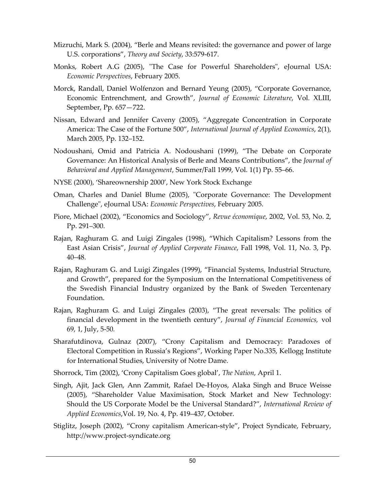- Mizruchi, Mark S. (2004), "Berle and Means revisited: the governance and power of large U.S. corporations", *Theory and Society*, 33:579‐617.
- Monks, Robert A.G (2005), "The Case for Powerful Shareholders", eJournal USA: *Economic Perspectives*, February 2005.
- Morck, Randall, Daniel Wolfenzon and Bernard Yeung (2005), "Corporate Governance, Economic Entrenchment, and Growth", *Journal of Economic Literature*, Vol. XLIII, September, Pp. 657—722.
- Nissan, Edward and Jennifer Caveny (2005), "Aggregate Concentration in Corporate America: The Case of the Fortune 500", *International Journal of Applied Economics*, 2(1), March 2005, Pp. 132–152.
- Nodoushani, Omid and Patricia A. Nodoushani (1999), "The Debate on Corporate Governance: An Historical Analysis of Berle and Means Contributions", the *Journal of Behavioral and Applied Management*, Summer/Fall 1999, Vol. 1(1) Pp. 55–66.
- NYSE (2000), 'Shareownership 2000', New York Stock Exchange
- Oman, Charles and Daniel Blume (2005), "Corporate Governance: The Development Challengeʺ, eJournal USA: *Economic Perspectives*, February 2005.
- Piore, Michael (2002), "Economics and Sociology", *Revue économique*, 2002, Vol. 53, No. 2, Pp. 291–300.
- Rajan, Raghuram G. and Luigi Zingales (1998), "Which Capitalism? Lessons from the East Asian Crisis", *Journal of Applied Corporate Finance*, Fall 1998, Vol. 11, No. 3, Pp. 40–48.
- Rajan, Raghuram G. and Luigi Zingales (1999), "Financial Systems, Industrial Structure, and Growth", prepared for the Symposium on the International Competitiveness of the Swedish Financial Industry organized by the Bank of Sweden Tercentenary Foundation.
- Rajan, Raghuram G. and Luigi Zingales (2003), "The great reversals: The politics of financial development in the twentieth century", *Journal of Financial Economics,* vol 69, 1, July, 5‐50*.*
- Sharafutdinova, Gulnaz (2007), "Crony Capitalism and Democracy: Paradoxes of Electoral Competition in Russia's Regions", Working Paper No.335, Kellogg Institute for International Studies, University of Notre Dame.
- Shorrock, Tim (2002), 'Crony Capitalism Goes global', *The Nation*, April 1.
- Singh, Ajit, Jack Glen, Ann Zammit, Rafael De‐Hoyos, Alaka Singh and Bruce Weisse (2005), "Shareholder Value Maximisation, Stock Market and New Technology: Should the US Corporate Model be the Universal Standard?", *International Review of Applied Economics*,Vol. 19, No. 4, Pp. 419–437, October.
- Stiglitz, Joseph (2002), "Crony capitalism American‐style", Project Syndicate, February, http://www.project‐syndicate.org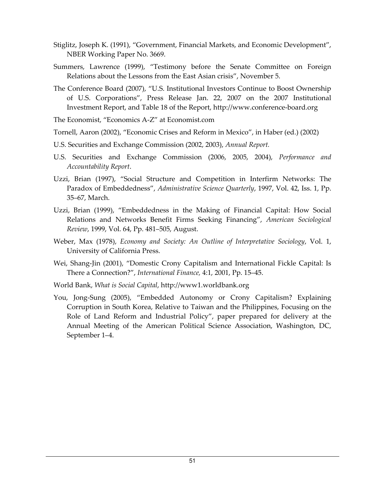- Stiglitz, Joseph K. (1991), "Government, Financial Markets, and Economic Development", NBER Working Paper No. 3669.
- Summers, Lawrence (1999), "Testimony before the Senate Committee on Foreign Relations about the Lessons from the East Asian crisis", November 5.
- The Conference Board (2007), "U.S. Institutional Investors Continue to Boost Ownership of U.S. Corporations", Press Release Jan. 22, 2007 on the 2007 Institutional Investment Report, and Table 18 of the Report, http://www.conference‐board.org
- The Economist, "Economics A‐Z" at Economist.com
- Tornell, Aaron (2002), "Economic Crises and Reform in Mexico", in Haber (ed.) (2002)
- U.S. Securities and Exchange Commission (2002, 2003), *Annual Report.*
- U.S. Securities and Exchange Commission (2006, 2005, 2004), *Performance and Accountability Report*.
- Uzzi, Brian (1997), "Social Structure and Competition in Interfirm Networks: The Paradox of Embeddedness", *Administrative Science Quarterly*, 1997, Vol. 42, Iss. 1, Pp. 35–67, March.
- Uzzi, Brian (1999), "Embeddedness in the Making of Financial Capital: How Social Relations and Networks Benefit Firms Seeking Financing", *American Sociological Review*, 1999, Vol. 64, Pp. 481–505, August.
- Weber, Max (1978), *Economy and Society: An Outline of Interpretative Sociology*, Vol. 1, University of California Press.
- Wei, Shang-Jin (2001), "Domestic Crony Capitalism and International Fickle Capital: Is There a Connection?", *International Finance,* 4:1, 2001, Pp. 15–45.
- World Bank, *What is Social Capital*, http://www1.worldbank.org
- You, Jong‐Sung (2005), "Embedded Autonomy or Crony Capitalism? Explaining Corruption in South Korea, Relative to Taiwan and the Philippines, Focusing on the Role of Land Reform and Industrial Policy", paper prepared for delivery at the Annual Meeting of the American Political Science Association, Washington, DC, September 1–4.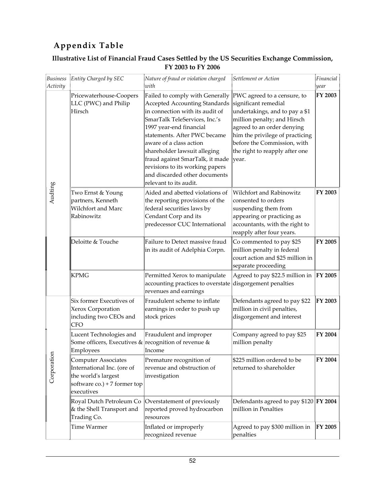# **Appendix Table**

#### **Illustrative List of Financial Fraud Cases Settled by the US Securities Exchange Commission, FY 2003 to FY 2006**

| <b>Business</b><br>Activity | Entity Charged by SEC                                                                                                  | Nature of fraud or violation charged<br>with                                                                                                                                                                                                                                                                                                                                                | Settlement or Action                                                                                                                                                                                                                                            | Financial<br>year |
|-----------------------------|------------------------------------------------------------------------------------------------------------------------|---------------------------------------------------------------------------------------------------------------------------------------------------------------------------------------------------------------------------------------------------------------------------------------------------------------------------------------------------------------------------------------------|-----------------------------------------------------------------------------------------------------------------------------------------------------------------------------------------------------------------------------------------------------------------|-------------------|
|                             | Pricewaterhouse-Coopers<br>LLC (PWC) and Philip<br>Hirsch                                                              | Failed to comply with Generally<br>Accepted Accounting Standards<br>in connection with its audit of<br>SmarTalk TeleServices, Inc.'s<br>1997 year-end financial<br>statements. After PWC became<br>aware of a class action<br>shareholder lawsuit alleging<br>fraud against SmarTalk, it made<br>revisions to its working papers<br>and discarded other documents<br>relevant to its audit. | PWC agreed to a censure, to<br>significant remedial<br>undertakings, and to pay a \$1<br>million penalty; and Hirsch<br>agreed to an order denying<br>him the privilege of practicing<br>before the Commission, with<br>the right to reapply after one<br>year. | FY 2003           |
| Audting                     | Two Ernst & Young<br>partners, Kenneth<br>Wilchfort and Marc<br>Rabinowitz                                             | Aided and abetted violations of<br>the reporting provisions of the<br>federal securities laws by<br>Cendant Corp and its<br>predecessor CUC International                                                                                                                                                                                                                                   | Wilchfort and Rabinowitz<br>consented to orders<br>suspending them from<br>appearing or practicing as<br>accountants, with the right to<br>reapply after four years.                                                                                            | FY 2003           |
|                             | Deloitte & Touche                                                                                                      | Failure to Detect massive fraud<br>in its audit of Adelphia Corpn.                                                                                                                                                                                                                                                                                                                          | Co commented to pay \$25<br>million penalty in federal<br>court action and \$25 million in<br>separate proceeding                                                                                                                                               | FY 2005           |
|                             | <b>KPMG</b>                                                                                                            | Permitted Xerox to manipulate<br>accounting practices to overstate disgorgement penalties<br>revenues and earnings                                                                                                                                                                                                                                                                          | Agreed to pay \$22.5 million in                                                                                                                                                                                                                                 | FY 2005           |
|                             | Six former Executives of<br>Xerox Corporation<br>including two CEOs and<br>CFO                                         | Fraudulent scheme to inflate<br>earnings in order to push up<br>stock prices                                                                                                                                                                                                                                                                                                                | Defendants agreed to pay \$22<br>million in civil penalties,<br>disgorgement and interest                                                                                                                                                                       | FY 2003           |
| Corporation                 | Lucent Technologies and<br>Some officers, Executives & recognition of revenue $\&$<br>Employees                        | Fraudulent and improper<br>Income                                                                                                                                                                                                                                                                                                                                                           | Company agreed to pay \$25<br>million penalty                                                                                                                                                                                                                   | FY 2004           |
|                             | Computer Associates<br>International Inc. (ore of<br>the world's largest<br>software co.) + 7 former top<br>executives | Premature recognition of<br>revenue and obstruction of<br>investigation                                                                                                                                                                                                                                                                                                                     | \$225 million ordered to be<br>returned to shareholder                                                                                                                                                                                                          | FY 2004           |
|                             | Royal Dutch Petroleum Co<br>& the Shell Transport and<br>Trading Co.                                                   | Overstatement of previously<br>reported proved hydrocarbon<br>resources                                                                                                                                                                                                                                                                                                                     | Defendants agreed to pay \$120 FY 2004<br>million in Penalties                                                                                                                                                                                                  |                   |
|                             | Time Warmer                                                                                                            | Inflated or improperly<br>recognized revenue                                                                                                                                                                                                                                                                                                                                                | Agreed to pay \$300 million in<br>penalties                                                                                                                                                                                                                     | FY 2005           |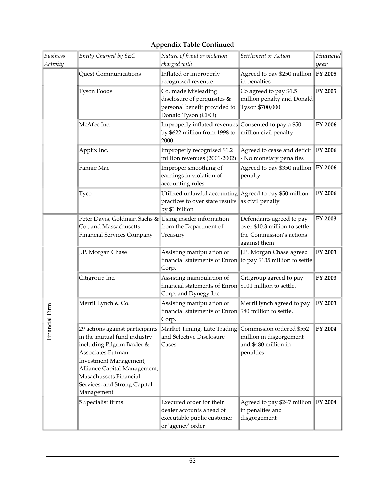| <b>Business</b><br>Activity | Entity Charged by SEC                                                                                                                                                                                                                                | Nature of fraud or violation<br>charged with                                                                                  | Settlement or Action                                                                                  | Financial<br>year |
|-----------------------------|------------------------------------------------------------------------------------------------------------------------------------------------------------------------------------------------------------------------------------------------------|-------------------------------------------------------------------------------------------------------------------------------|-------------------------------------------------------------------------------------------------------|-------------------|
|                             | <b>Ouest Communications</b>                                                                                                                                                                                                                          | Inflated or improperly<br>recognized revenue                                                                                  | Agreed to pay \$250 million<br>in penalties                                                           | FY 2005           |
|                             | Tyson Foods                                                                                                                                                                                                                                          | Co. made Misleading<br>disclosure of perquisites &<br>personal benefit provided to<br>Donald Tyson (CEO)                      | Co agreed to pay \$1.5<br>million penalty and Donald<br>Tyson \$700,000                               | FY 2005           |
|                             | McAfee Inc.                                                                                                                                                                                                                                          | Improperly inflated revenues Consented to pay a \$50<br>by \$622 million from 1998 to<br>2000                                 | million civil penalty                                                                                 | FY 2006           |
|                             | Applix Inc.                                                                                                                                                                                                                                          | Improperly recognised \$1.2<br>million revenues (2001-2002)                                                                   | Agreed to cease and deficit<br>- No monetary penalties                                                | <b>FY 2006</b>    |
|                             | Fannie Mac                                                                                                                                                                                                                                           | Improper smoothing of<br>earnings in violation of<br>accounting rules                                                         | Agreed to pay \$350 million<br>penalty                                                                | FY 2006           |
|                             | Tyco                                                                                                                                                                                                                                                 | Utilized unlawful accounting Agreed to pay \$50 million<br>practices to over state results as civil penalty<br>by \$1 billion |                                                                                                       | FY 2006           |
| Financial Firm              | Peter Davis, Goldman Sachs & Using insider information<br>Co., and Massachusetts<br>Financial Services Company                                                                                                                                       | from the Department of<br>Treasury                                                                                            | Defendants agreed to pay<br>over \$10.3 million to settle<br>the Commission's actions<br>against them | FY 2003           |
|                             | J.P. Morgan Chase                                                                                                                                                                                                                                    | Assisting manipulation of<br>financial statements of Enron to pay \$135 million to settle.<br>Corp.                           | J.P. Morgan Chase agreed                                                                              | FY 2003           |
|                             | Citigroup Inc.                                                                                                                                                                                                                                       | Assisting manipulation of<br>financial statements of Enron \$101 million to settle.<br>Corp. and Dynegy Inc.                  | Citigroup agreed to pay                                                                               | FY 2003           |
|                             | Merril Lynch & Co.                                                                                                                                                                                                                                   | Assisting manipulation of<br>financial statements of Enron \$80 million to settle.<br>Corp.                                   | Merril lynch agreed to pay                                                                            | FY 2003           |
|                             | 29 actions against participants<br>in the mutual fund industry<br>including Pilgrim Baxler &<br>Associates, Putman<br>Investment Management,<br>Alliance Capital Management,<br>Masachussets Financial<br>Services, and Strong Capital<br>Management | Market Timing, Late Trading<br>and Selective Disclosure<br>Cases                                                              | Commission ordered \$552<br>million in disgorgement<br>and \$480 million in<br>penalties              | FY 2004           |
|                             | 5 Specialist firms                                                                                                                                                                                                                                   | Executed order for their<br>dealer accounts ahead of<br>executable public customer<br>or 'agency' order                       | Agreed to pay \$247 million FY 2004<br>in penalties and<br>disgorgement                               |                   |

#### **Appendix Table Continued**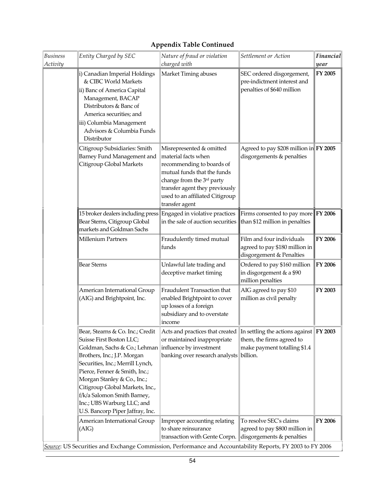## **Appendix Table Continued**

| <b>Business</b> | Entity Charged by SEC                                                                                                                                                                                                                                                                                                                                               | Nature of fraud or violation                                                                                                                                                                                                                | Settlement or Action                                                                                 | Financial |
|-----------------|---------------------------------------------------------------------------------------------------------------------------------------------------------------------------------------------------------------------------------------------------------------------------------------------------------------------------------------------------------------------|---------------------------------------------------------------------------------------------------------------------------------------------------------------------------------------------------------------------------------------------|------------------------------------------------------------------------------------------------------|-----------|
| Activity        |                                                                                                                                                                                                                                                                                                                                                                     | charged with                                                                                                                                                                                                                                |                                                                                                      | year      |
|                 | i) Canadian Imperial Holdings<br>& CIBC World Markets<br>ii) Banc of America Capital<br>Management, BACAP<br>Distributors & Banc of                                                                                                                                                                                                                                 | Market Timing abuses                                                                                                                                                                                                                        | SEC ordered disgorgement,<br>pre-indictment interest and<br>penalties of \$640 million               | FY 2005   |
|                 | America securities; and<br>iii) Columbia Management<br>Advisors & Columbia Funds<br>Distributor                                                                                                                                                                                                                                                                     |                                                                                                                                                                                                                                             |                                                                                                      |           |
|                 | Citigroup Subsidiaries: Smith<br>Barney Fund Management and<br>Citigroup Global Markets                                                                                                                                                                                                                                                                             | Misrepresented & omitted<br>material facts when<br>recommending to boards of<br>mutual funds that the funds<br>change from the 3 <sup>rd</sup> party<br>transfer agent they previously<br>used to an affiliated Citigroup<br>transfer agent | Agreed to pay \$208 million in FY 2005<br>disgorgements & penalties                                  |           |
|                 | 15 broker dealers including press<br>Bear Sterns, Citigroup Global<br>markets and Goldman Sachs                                                                                                                                                                                                                                                                     | Engaged in violative practices<br>in the sale of auction securities                                                                                                                                                                         | Firms consented to pay more FY 2006<br>than \$12 million in penalties                                |           |
|                 | Millenium Partners                                                                                                                                                                                                                                                                                                                                                  | Fraudulently timed mutual<br>funds                                                                                                                                                                                                          | Film and four individuals<br>agreed to pay \$180 million in<br>disgorgement & Penalties              | FY 2006   |
|                 | <b>Bear Sterns</b>                                                                                                                                                                                                                                                                                                                                                  | Unlawful late trading and<br>deceptive market timing                                                                                                                                                                                        | Ordered to pay \$160 million<br>in disgorgement & a \$90<br>million penalties                        | FY 2006   |
|                 | American International Group<br>(AIG) and Brightpoint, Inc.                                                                                                                                                                                                                                                                                                         | Fraudulent Transaction that<br>enabled Brightpoint to cover<br>up losses of a foreign<br>subsidiary and to overstate<br>income                                                                                                              | AIG agreed to pay \$10<br>million as civil penalty                                                   | FY 2003   |
|                 | Bear, Stearns & Co. Inc.; Credit<br>Suisse First Boston LLC;<br>Goldman, Sachs & Co.; Lehman<br>Brothers, Inc.; J.P. Morgan<br>Securities, Inc.; Merrill Lynch,<br>Pierce, Fenner & Smith, Inc.;<br>Morgan Stanley & Co., Inc.;<br>Citigroup Global Markets, Inc.,<br>f/k/a Salomon Smith Barney,<br>Inc.; UBS Warburg LLC; and<br>U.S. Bancorp Piper Jaffray, Inc. | Acts and practices that created<br>or maintained inappropriate<br>influence by investment<br>banking over research analysts billion.                                                                                                        | In settling the actions against FY 2003<br>them, the firms agreed to<br>make payment totalling \$1.4 |           |
|                 | American International Group<br>(AIG)                                                                                                                                                                                                                                                                                                                               | Improper accounting relating<br>to share reinsurance<br>transaction with Gente Corpn. disgorgements & penalties                                                                                                                             | To resolve SEC's claims<br>agreed to pay \$800 million in                                            | FY 2006   |
|                 | Source: US Securities and Exchange Commission, Performance and Accountability Reports, FY 2003 to FY 2006                                                                                                                                                                                                                                                           |                                                                                                                                                                                                                                             |                                                                                                      |           |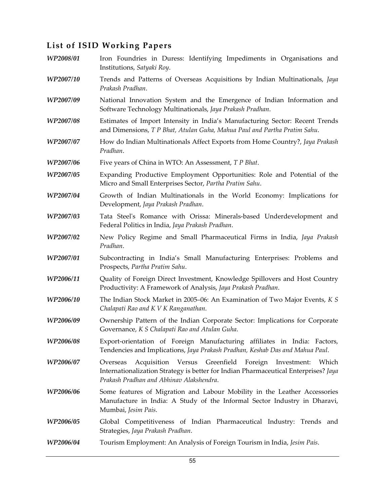## **List of ISID Working Papers**

| <b>WP2008/01</b> |                            |  |  | Iron Foundries in Duress: Identifying Impediments in Organisations and |  |
|------------------|----------------------------|--|--|------------------------------------------------------------------------|--|
|                  | Institutions, Satyaki Roy. |  |  |                                                                        |  |

- *WP2007/10* Trends and Patterns of Overseas Acquisitions by Indian Multinationals, *Jaya Prakash Pradhan*.
- *WP2007/09* National Innovation System and the Emergence of Indian Information and Software Technology Multinationals, *Jaya Prakash Pradhan*.
- *WP2007/08* Estimates of Import Intensity in India's Manufacturing Sector: Recent Trends and Dimensions, *T P Bhat, Atulan Guha, Mahua Paul and Partha Pratim Sahu*.
- *WP2007/07* How do Indian Multinationals Affect Exports from Home Country?, *Jaya Prakash Pradhan*.
- *WP2007/06* Five years of China in WTO: An Assessment, *T P Bhat*.
- *WP2007/05* Expanding Productive Employment Opportunities: Role and Potential of the Micro and Small Enterprises Sector, *Partha Pratim Sahu*.
- *WP2007/04* Growth of Indian Multinationals in the World Economy: Implications for Development, *Jaya Prakash Pradhan*.
- *WP2007/03* Tata Steelʹs Romance with Orissa: Minerals‐based Underdevelopment and Federal Politics in India, *Jaya Prakash Pradhan*.
- *WP2007/02* New Policy Regime and Small Pharmaceutical Firms in India, *Jaya Prakash Pradhan*.
- *WP2007/01* Subcontracting in India's Small Manufacturing Enterprises: Problems and Prospects, *Partha Pratim Sahu*.
- *WP2006/11* Quality of Foreign Direct Investment, Knowledge Spillovers and Host Country Productivity: A Framework of Analysis, *Jaya Prakash Pradhan*.
- *WP2006/10* The Indian Stock Market in 2005–06: An Examination of Two Major Events, *K S Chalapati Rao and K V K Ranganathan*.
- *WP2006/09* Ownership Pattern of the Indian Corporate Sector: Implications for Corporate Governance, *K S Chalapati Rao and Atulan Guha*.
- *WP2006/08* Export‐orientation of Foreign Manufacturing affiliates in India: Factors, Tendencies and Implications, *Jaya Prakash Pradhan, Keshab Das and Mahua Paul*.
- *WP2006/07* Overseas Acquisition Versus Greenfield Foreign Investment: Which Internationalization Strategy is better for Indian Pharmaceutical Enterprises? *Jaya Prakash Pradhan and Abhinav Alakshendra*.
- *WP2006/06* Some features of Migration and Labour Mobility in the Leather Accessories Manufacture in India: A Study of the Informal Sector Industry in Dharavi, Mumbai, *Jesim Pais*.
- *WP2006/05* Global Competitiveness of Indian Pharmaceutical Industry: Trends and Strategies, *Jaya Prakash Pradhan*.
- *WP2006/04* Tourism Employment: An Analysis of Foreign Tourism in India, *Jesim Pais*.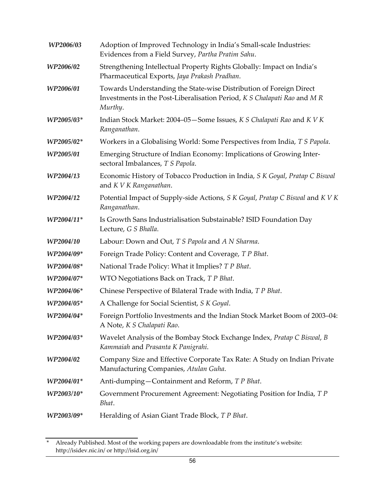| WP2006/03        | Adoption of Improved Technology in India's Small-scale Industries:<br>Evidences from a Field Survey, Partha Pratim Sahu.                                   |
|------------------|------------------------------------------------------------------------------------------------------------------------------------------------------------|
| WP2006/02        | Strengthening Intellectual Property Rights Globally: Impact on India's<br>Pharmaceutical Exports, Jaya Prakash Pradhan.                                    |
| WP2006/01        | Towards Understanding the State-wise Distribution of Foreign Direct<br>Investments in the Post-Liberalisation Period, K S Chalapati Rao and M R<br>Murthy. |
| WP2005/03*       | Indian Stock Market: 2004-05-Some Issues, K S Chalapati Rao and K V K<br>Ranganathan.                                                                      |
| WP2005/02*       | Workers in a Globalising World: Some Perspectives from India, T S Papola.                                                                                  |
| WP2005/01        | Emerging Structure of Indian Economy: Implications of Growing Inter-<br>sectoral Imbalances, T S Papola.                                                   |
| <b>WP2004/13</b> | Economic History of Tobacco Production in India, S K Goyal, Pratap C Biswal<br>and K V K Ranganathan.                                                      |
| WP2004/12        | Potential Impact of Supply-side Actions, S K Goyal, Pratap C Biswal and K V K<br>Ranganathan.                                                              |
| WP2004/11*       | Is Growth Sans Industrialisation Substainable? ISID Foundation Day<br>Lecture, G S Bhalla.                                                                 |
| WP2004/10        | Labour: Down and Out, T S Papola and A N Sharma.                                                                                                           |
| WP2004/09*       | Foreign Trade Policy: Content and Coverage, TP Bhat.                                                                                                       |
| WP2004/08*       | National Trade Policy: What it Implies? T P Bhat.                                                                                                          |
| WP2004/07*       | WTO Negotiations Back on Track, T P Bhat.                                                                                                                  |
| WP2004/06*       | Chinese Perspective of Bilateral Trade with India, T P Bhat.                                                                                               |
| WP2004/05*       | A Challenge for Social Scientist, S K Goyal.                                                                                                               |
| WP2004/04*       | Foreign Portfolio Investments and the Indian Stock Market Boom of 2003-04:<br>A Note, K S Chalapati Rao.                                                   |
| WP2004/03*       | Wavelet Analysis of the Bombay Stock Exchange Index, Pratap C Biswal, B<br>Kammaiah and Prasanta K Panigrahi.                                              |
| WP2004/02        | Company Size and Effective Corporate Tax Rate: A Study on Indian Private<br>Manufacturing Companies, Atulan Guha.                                          |
| WP2004/01*       | Anti-dumping-Containment and Reform, TP Bhat.                                                                                                              |
| WP2003/10*       | Government Procurement Agreement: Negotiating Position for India, TP<br>Bhat.                                                                              |
| WP2003/09*       | Heralding of Asian Giant Trade Block, T P Bhat.                                                                                                            |

<sup>\*</sup> Already Published. Most of the working papers are downloadable from the institute's website: http://isidev.nic.in/ or http://isid.org.in/